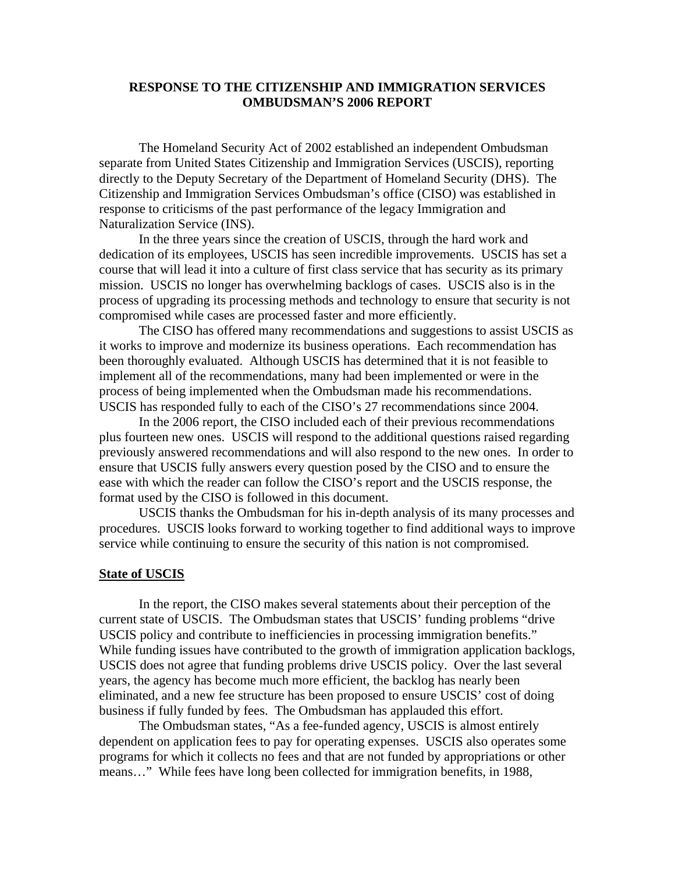#### **RESPONSE TO THE CITIZENSHIP AND IMMIGRATION SERVICES OMBUDSMAN'S 2006 REPORT**

 The Homeland Security Act of 2002 established an independent Ombudsman separate from United States Citizenship and Immigration Services (USCIS), reporting directly to the Deputy Secretary of the Department of Homeland Security (DHS). The Citizenship and Immigration Services Ombudsman's office (CISO) was established in response to criticisms of the past performance of the legacy Immigration and Naturalization Service (INS).

 In the three years since the creation of USCIS, through the hard work and dedication of its employees, USCIS has seen incredible improvements. USCIS has set a course that will lead it into a culture of first class service that has security as its primary mission. USCIS no longer has overwhelming backlogs of cases. USCIS also is in the process of upgrading its processing methods and technology to ensure that security is not compromised while cases are processed faster and more efficiently.

 The CISO has offered many recommendations and suggestions to assist USCIS as it works to improve and modernize its business operations. Each recommendation has been thoroughly evaluated. Although USCIS has determined that it is not feasible to implement all of the recommendations, many had been implemented or were in the process of being implemented when the Ombudsman made his recommendations. USCIS has responded fully to each of the CISO's 27 recommendations since 2004.

 In the 2006 report, the CISO included each of their previous recommendations plus fourteen new ones. USCIS will respond to the additional questions raised regarding previously answered recommendations and will also respond to the new ones. In order to ensure that USCIS fully answers every question posed by the CISO and to ensure the ease with which the reader can follow the CISO's report and the USCIS response, the format used by the CISO is followed in this document.

 USCIS thanks the Ombudsman for his in-depth analysis of its many processes and procedures. USCIS looks forward to working together to find additional ways to improve service while continuing to ensure the security of this nation is not compromised.

#### **State of USCIS**

 In the report, the CISO makes several statements about their perception of the current state of USCIS. The Ombudsman states that USCIS' funding problems "drive USCIS policy and contribute to inefficiencies in processing immigration benefits." While funding issues have contributed to the growth of immigration application backlogs, USCIS does not agree that funding problems drive USCIS policy. Over the last several years, the agency has become much more efficient, the backlog has nearly been eliminated, and a new fee structure has been proposed to ensure USCIS' cost of doing business if fully funded by fees. The Ombudsman has applauded this effort.

 The Ombudsman states, "As a fee-funded agency, USCIS is almost entirely dependent on application fees to pay for operating expenses. USCIS also operates some programs for which it collects no fees and that are not funded by appropriations or other means…" While fees have long been collected for immigration benefits, in 1988,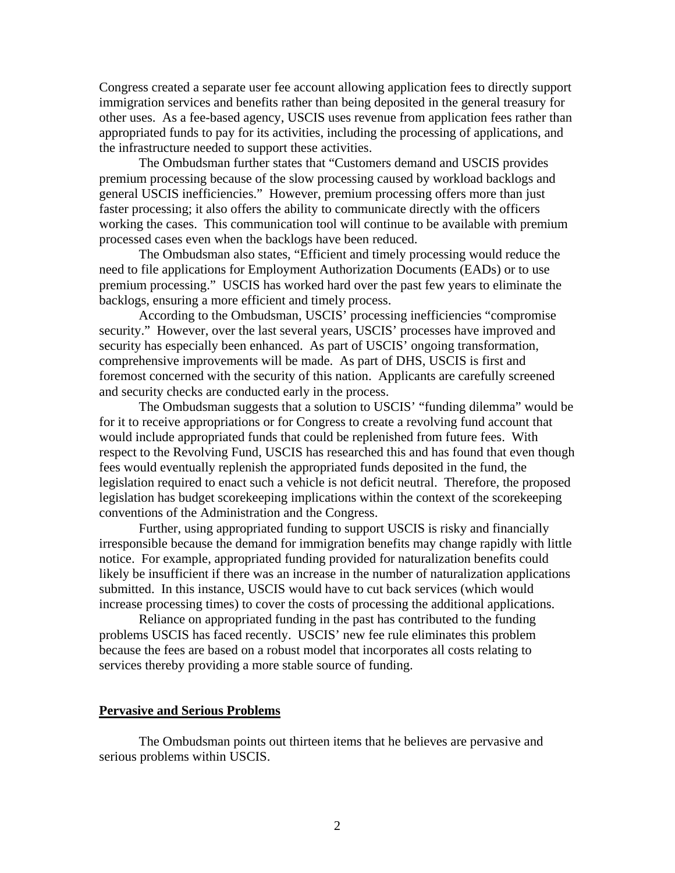Congress created a separate user fee account allowing application fees to directly support immigration services and benefits rather than being deposited in the general treasury for other uses. As a fee-based agency, USCIS uses revenue from application fees rather than appropriated funds to pay for its activities, including the processing of applications, and the infrastructure needed to support these activities.

 The Ombudsman further states that "Customers demand and USCIS provides premium processing because of the slow processing caused by workload backlogs and general USCIS inefficiencies." However, premium processing offers more than just faster processing; it also offers the ability to communicate directly with the officers working the cases. This communication tool will continue to be available with premium processed cases even when the backlogs have been reduced.

 The Ombudsman also states, "Efficient and timely processing would reduce the need to file applications for Employment Authorization Documents (EADs) or to use premium processing." USCIS has worked hard over the past few years to eliminate the backlogs, ensuring a more efficient and timely process.

According to the Ombudsman, USCIS' processing inefficiencies "compromise security." However, over the last several years, USCIS' processes have improved and security has especially been enhanced. As part of USCIS' ongoing transformation, comprehensive improvements will be made. As part of DHS, USCIS is first and foremost concerned with the security of this nation. Applicants are carefully screened and security checks are conducted early in the process.

The Ombudsman suggests that a solution to USCIS' "funding dilemma" would be for it to receive appropriations or for Congress to create a revolving fund account that would include appropriated funds that could be replenished from future fees. With respect to the Revolving Fund, USCIS has researched this and has found that even though fees would eventually replenish the appropriated funds deposited in the fund, the legislation required to enact such a vehicle is not deficit neutral. Therefore, the proposed legislation has budget scorekeeping implications within the context of the scorekeeping conventions of the Administration and the Congress.

Further, using appropriated funding to support USCIS is risky and financially irresponsible because the demand for immigration benefits may change rapidly with little notice. For example, appropriated funding provided for naturalization benefits could likely be insufficient if there was an increase in the number of naturalization applications submitted. In this instance, USCIS would have to cut back services (which would increase processing times) to cover the costs of processing the additional applications.

Reliance on appropriated funding in the past has contributed to the funding problems USCIS has faced recently. USCIS' new fee rule eliminates this problem because the fees are based on a robust model that incorporates all costs relating to services thereby providing a more stable source of funding.

#### **Pervasive and Serious Problems**

 The Ombudsman points out thirteen items that he believes are pervasive and serious problems within USCIS.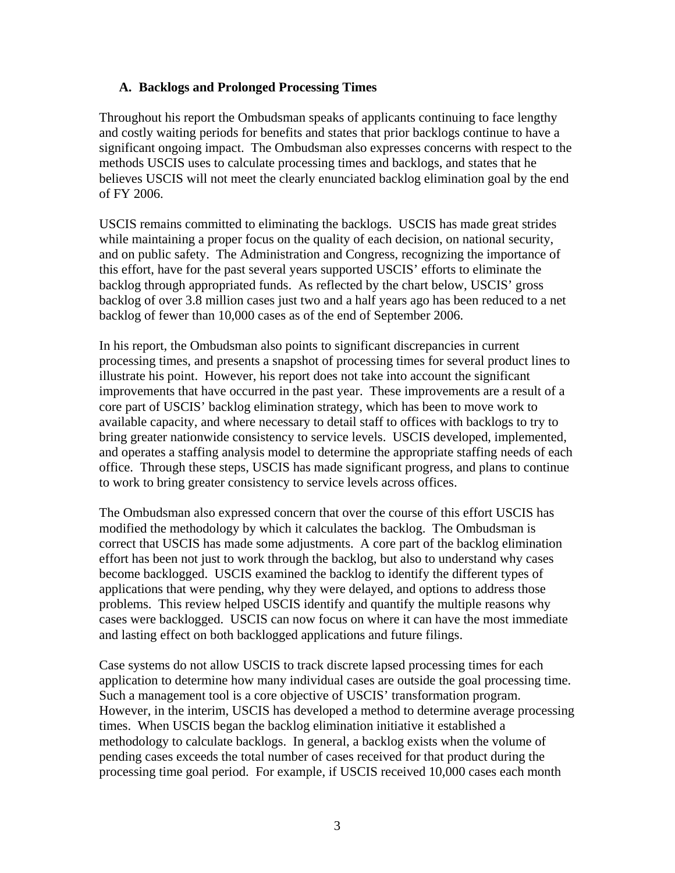# **A. Backlogs and Prolonged Processing Times**

Throughout his report the Ombudsman speaks of applicants continuing to face lengthy and costly waiting periods for benefits and states that prior backlogs continue to have a significant ongoing impact. The Ombudsman also expresses concerns with respect to the methods USCIS uses to calculate processing times and backlogs, and states that he believes USCIS will not meet the clearly enunciated backlog elimination goal by the end of FY 2006.

USCIS remains committed to eliminating the backlogs. USCIS has made great strides while maintaining a proper focus on the quality of each decision, on national security, and on public safety. The Administration and Congress, recognizing the importance of this effort, have for the past several years supported USCIS' efforts to eliminate the backlog through appropriated funds. As reflected by the chart below, USCIS' gross backlog of over 3.8 million cases just two and a half years ago has been reduced to a net backlog of fewer than 10,000 cases as of the end of September 2006.

In his report, the Ombudsman also points to significant discrepancies in current processing times, and presents a snapshot of processing times for several product lines to illustrate his point. However, his report does not take into account the significant improvements that have occurred in the past year. These improvements are a result of a core part of USCIS' backlog elimination strategy, which has been to move work to available capacity, and where necessary to detail staff to offices with backlogs to try to bring greater nationwide consistency to service levels. USCIS developed, implemented, and operates a staffing analysis model to determine the appropriate staffing needs of each office. Through these steps, USCIS has made significant progress, and plans to continue to work to bring greater consistency to service levels across offices.

The Ombudsman also expressed concern that over the course of this effort USCIS has modified the methodology by which it calculates the backlog. The Ombudsman is correct that USCIS has made some adjustments. A core part of the backlog elimination effort has been not just to work through the backlog, but also to understand why cases become backlogged. USCIS examined the backlog to identify the different types of applications that were pending, why they were delayed, and options to address those problems. This review helped USCIS identify and quantify the multiple reasons why cases were backlogged. USCIS can now focus on where it can have the most immediate and lasting effect on both backlogged applications and future filings.

Case systems do not allow USCIS to track discrete lapsed processing times for each application to determine how many individual cases are outside the goal processing time. Such a management tool is a core objective of USCIS' transformation program. However, in the interim, USCIS has developed a method to determine average processing times. When USCIS began the backlog elimination initiative it established a methodology to calculate backlogs. In general, a backlog exists when the volume of pending cases exceeds the total number of cases received for that product during the processing time goal period. For example, if USCIS received 10,000 cases each month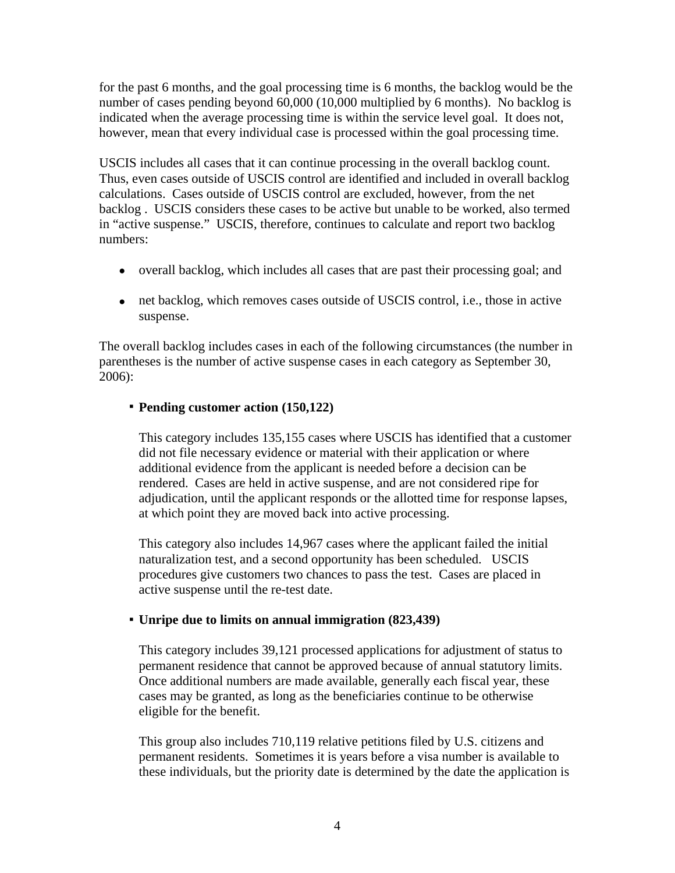for the past 6 months, and the goal processing time is 6 months, the backlog would be the number of cases pending beyond 60,000 (10,000 multiplied by 6 months). No backlog is indicated when the average processing time is within the service level goal. It does not, however, mean that every individual case is processed within the goal processing time.

USCIS includes all cases that it can continue processing in the overall backlog count. Thus, even cases outside of USCIS control are identified and included in overall backlog calculations. Cases outside of USCIS control are excluded, however, from the net backlog . USCIS considers these cases to be active but unable to be worked, also termed in "active suspense." USCIS, therefore, continues to calculate and report two backlog numbers:

- overall backlog, which includes all cases that are past their processing goal; and
- net backlog, which removes cases outside of USCIS control, i.e., those in active suspense.

The overall backlog includes cases in each of the following circumstances (the number in parentheses is the number of active suspense cases in each category as September 30, 2006):

## **Pending customer action (150,122)**

This category includes 135,155 cases where USCIS has identified that a customer did not file necessary evidence or material with their application or where additional evidence from the applicant is needed before a decision can be rendered. Cases are held in active suspense, and are not considered ripe for adjudication, until the applicant responds or the allotted time for response lapses, at which point they are moved back into active processing.

This category also includes 14,967 cases where the applicant failed the initial naturalization test, and a second opportunity has been scheduled. USCIS procedures give customers two chances to pass the test. Cases are placed in active suspense until the re-test date.

### **Unripe due to limits on annual immigration (823,439)**

This category includes 39,121 processed applications for adjustment of status to permanent residence that cannot be approved because of annual statutory limits. Once additional numbers are made available, generally each fiscal year, these cases may be granted, as long as the beneficiaries continue to be otherwise eligible for the benefit.

This group also includes 710,119 relative petitions filed by U.S. citizens and permanent residents. Sometimes it is years before a visa number is available to these individuals, but the priority date is determined by the date the application is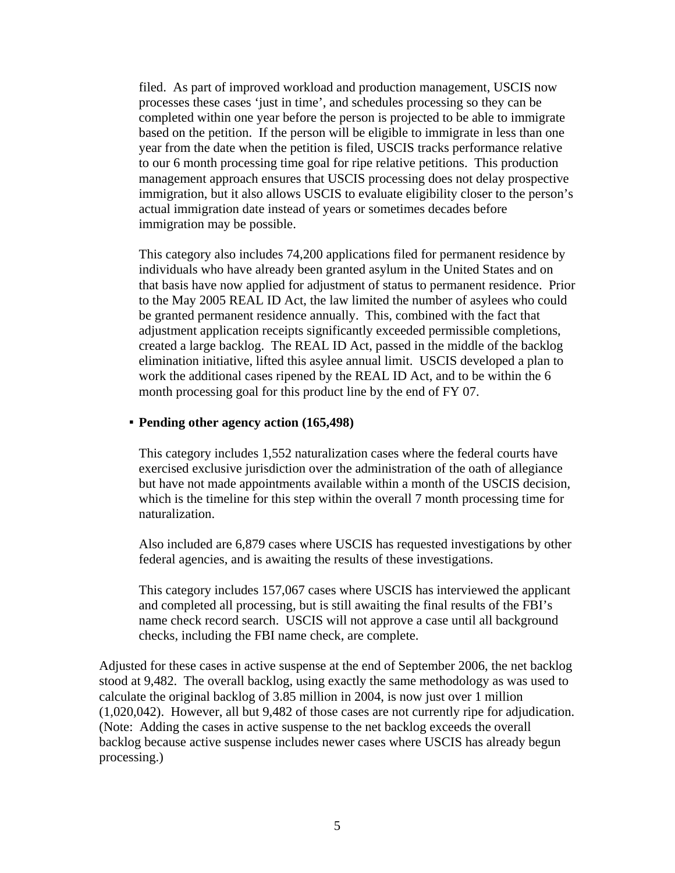filed. As part of improved workload and production management, USCIS now processes these cases 'just in time', and schedules processing so they can be completed within one year before the person is projected to be able to immigrate based on the petition. If the person will be eligible to immigrate in less than one year from the date when the petition is filed, USCIS tracks performance relative to our 6 month processing time goal for ripe relative petitions. This production management approach ensures that USCIS processing does not delay prospective immigration, but it also allows USCIS to evaluate eligibility closer to the person's actual immigration date instead of years or sometimes decades before immigration may be possible.

This category also includes 74,200 applications filed for permanent residence by individuals who have already been granted asylum in the United States and on that basis have now applied for adjustment of status to permanent residence. Prior to the May 2005 REAL ID Act, the law limited the number of asylees who could be granted permanent residence annually. This, combined with the fact that adjustment application receipts significantly exceeded permissible completions, created a large backlog. The REAL ID Act, passed in the middle of the backlog elimination initiative, lifted this asylee annual limit. USCIS developed a plan to work the additional cases ripened by the REAL ID Act, and to be within the 6 month processing goal for this product line by the end of FY 07.

#### **Pending other agency action (165,498)**

This category includes 1,552 naturalization cases where the federal courts have exercised exclusive jurisdiction over the administration of the oath of allegiance but have not made appointments available within a month of the USCIS decision, which is the timeline for this step within the overall 7 month processing time for naturalization.

Also included are 6,879 cases where USCIS has requested investigations by other federal agencies, and is awaiting the results of these investigations.

This category includes 157,067 cases where USCIS has interviewed the applicant and completed all processing, but is still awaiting the final results of the FBI's name check record search. USCIS will not approve a case until all background checks, including the FBI name check, are complete.

Adjusted for these cases in active suspense at the end of September 2006, the net backlog stood at 9,482. The overall backlog, using exactly the same methodology as was used to calculate the original backlog of 3.85 million in 2004, is now just over 1 million (1,020,042). However, all but 9,482 of those cases are not currently ripe for adjudication. (Note: Adding the cases in active suspense to the net backlog exceeds the overall backlog because active suspense includes newer cases where USCIS has already begun processing.)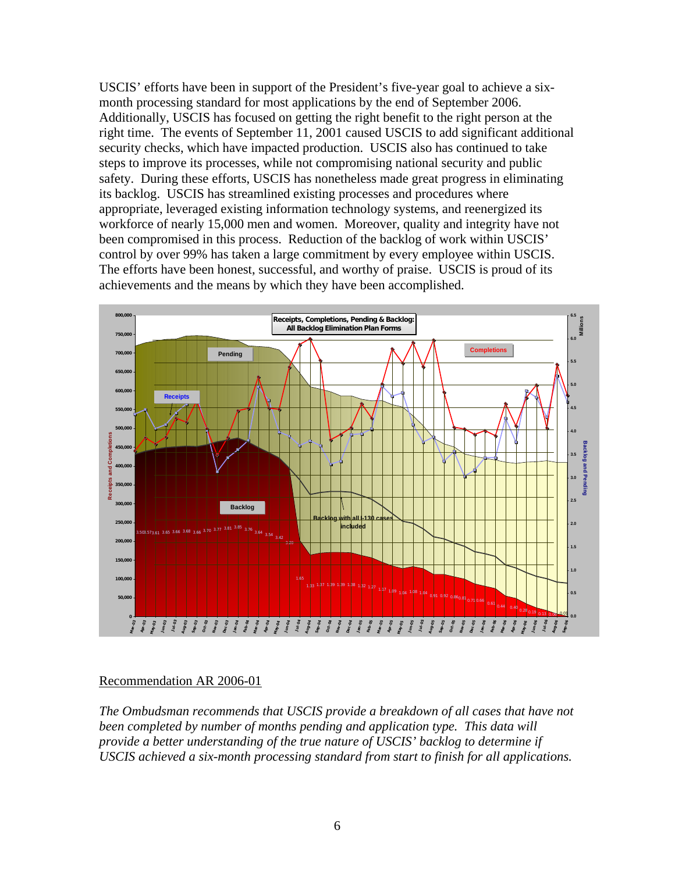USCIS' efforts have been in support of the President's five-year goal to achieve a sixmonth processing standard for most applications by the end of September 2006. Additionally, USCIS has focused on getting the right benefit to the right person at the right time. The events of September 11, 2001 caused USCIS to add significant additional security checks, which have impacted production. USCIS also has continued to take steps to improve its processes, while not compromising national security and public safety. During these efforts, USCIS has nonetheless made great progress in eliminating its backlog. USCIS has streamlined existing processes and procedures where appropriate, leveraged existing information technology systems, and reenergized its workforce of nearly 15,000 men and women. Moreover, quality and integrity have not been compromised in this process. Reduction of the backlog of work within USCIS' control by over 99% has taken a large commitment by every employee within USCIS. The efforts have been honest, successful, and worthy of praise. USCIS is proud of its achievements and the means by which they have been accomplished.



### Recommendation AR 2006-01

*The Ombudsman recommends that USCIS provide a breakdown of all cases that have not been completed by number of months pending and application type. This data will provide a better understanding of the true nature of USCIS' backlog to determine if USCIS achieved a six-month processing standard from start to finish for all applications.*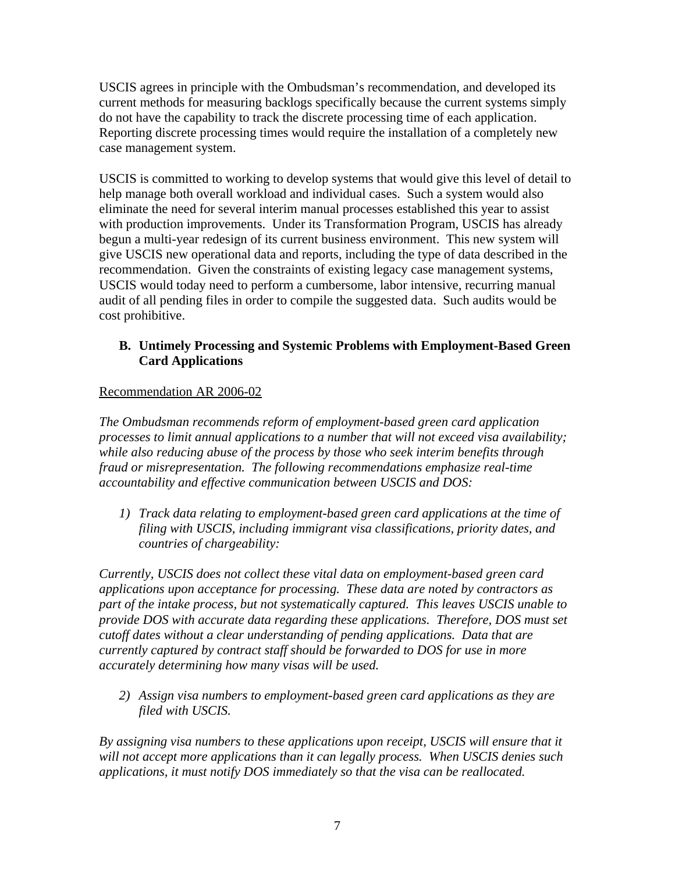USCIS agrees in principle with the Ombudsman's recommendation, and developed its current methods for measuring backlogs specifically because the current systems simply do not have the capability to track the discrete processing time of each application. Reporting discrete processing times would require the installation of a completely new case management system.

USCIS is committed to working to develop systems that would give this level of detail to help manage both overall workload and individual cases. Such a system would also eliminate the need for several interim manual processes established this year to assist with production improvements. Under its Transformation Program, USCIS has already begun a multi-year redesign of its current business environment. This new system will give USCIS new operational data and reports, including the type of data described in the recommendation. Given the constraints of existing legacy case management systems, USCIS would today need to perform a cumbersome, labor intensive, recurring manual audit of all pending files in order to compile the suggested data. Such audits would be cost prohibitive.

# **B. Untimely Processing and Systemic Problems with Employment-Based Green Card Applications**

# Recommendation AR 2006-02

*The Ombudsman recommends reform of employment-based green card application processes to limit annual applications to a number that will not exceed visa availability; while also reducing abuse of the process by those who seek interim benefits through fraud or misrepresentation. The following recommendations emphasize real-time accountability and effective communication between USCIS and DOS:* 

*1) Track data relating to employment-based green card applications at the time of filing with USCIS, including immigrant visa classifications, priority dates, and countries of chargeability:* 

*Currently, USCIS does not collect these vital data on employment-based green card applications upon acceptance for processing. These data are noted by contractors as part of the intake process, but not systematically captured. This leaves USCIS unable to provide DOS with accurate data regarding these applications. Therefore, DOS must set cutoff dates without a clear understanding of pending applications. Data that are currently captured by contract staff should be forwarded to DOS for use in more accurately determining how many visas will be used.* 

*2) Assign visa numbers to employment-based green card applications as they are filed with USCIS.* 

*By assigning visa numbers to these applications upon receipt, USCIS will ensure that it will not accept more applications than it can legally process. When USCIS denies such applications, it must notify DOS immediately so that the visa can be reallocated.*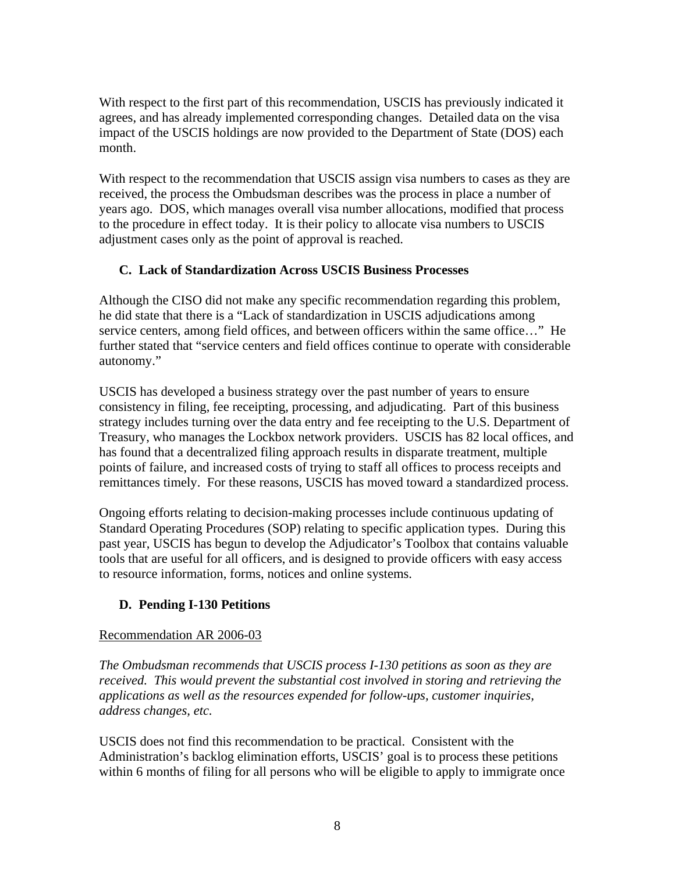With respect to the first part of this recommendation, USCIS has previously indicated it agrees, and has already implemented corresponding changes. Detailed data on the visa impact of the USCIS holdings are now provided to the Department of State (DOS) each month.

With respect to the recommendation that USCIS assign visa numbers to cases as they are received, the process the Ombudsman describes was the process in place a number of years ago. DOS, which manages overall visa number allocations, modified that process to the procedure in effect today. It is their policy to allocate visa numbers to USCIS adjustment cases only as the point of approval is reached.

# **C. Lack of Standardization Across USCIS Business Processes**

Although the CISO did not make any specific recommendation regarding this problem, he did state that there is a "Lack of standardization in USCIS adjudications among service centers, among field offices, and between officers within the same office..." He further stated that "service centers and field offices continue to operate with considerable autonomy."

USCIS has developed a business strategy over the past number of years to ensure consistency in filing, fee receipting, processing, and adjudicating. Part of this business strategy includes turning over the data entry and fee receipting to the U.S. Department of Treasury, who manages the Lockbox network providers. USCIS has 82 local offices, and has found that a decentralized filing approach results in disparate treatment, multiple points of failure, and increased costs of trying to staff all offices to process receipts and remittances timely. For these reasons, USCIS has moved toward a standardized process.

Ongoing efforts relating to decision-making processes include continuous updating of Standard Operating Procedures (SOP) relating to specific application types. During this past year, USCIS has begun to develop the Adjudicator's Toolbox that contains valuable tools that are useful for all officers, and is designed to provide officers with easy access to resource information, forms, notices and online systems.

# **D. Pending I-130 Petitions**

# Recommendation AR 2006-03

*The Ombudsman recommends that USCIS process I-130 petitions as soon as they are received. This would prevent the substantial cost involved in storing and retrieving the applications as well as the resources expended for follow-ups, customer inquiries, address changes, etc.* 

USCIS does not find this recommendation to be practical. Consistent with the Administration's backlog elimination efforts, USCIS' goal is to process these petitions within 6 months of filing for all persons who will be eligible to apply to immigrate once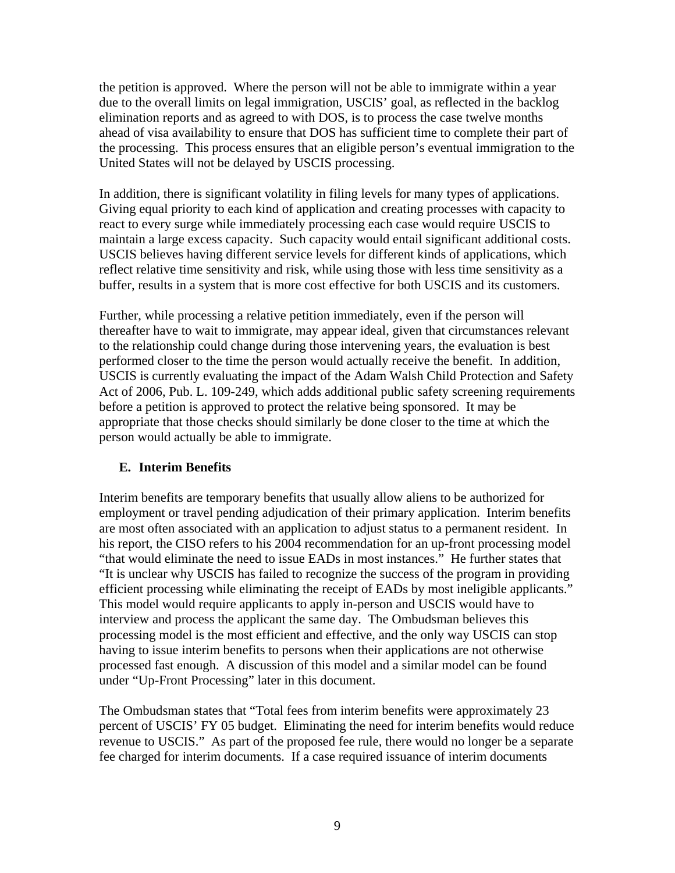the petition is approved. Where the person will not be able to immigrate within a year due to the overall limits on legal immigration, USCIS' goal, as reflected in the backlog elimination reports and as agreed to with DOS, is to process the case twelve months ahead of visa availability to ensure that DOS has sufficient time to complete their part of the processing. This process ensures that an eligible person's eventual immigration to the United States will not be delayed by USCIS processing.

In addition, there is significant volatility in filing levels for many types of applications. Giving equal priority to each kind of application and creating processes with capacity to react to every surge while immediately processing each case would require USCIS to maintain a large excess capacity. Such capacity would entail significant additional costs. USCIS believes having different service levels for different kinds of applications, which reflect relative time sensitivity and risk, while using those with less time sensitivity as a buffer, results in a system that is more cost effective for both USCIS and its customers.

Further, while processing a relative petition immediately, even if the person will thereafter have to wait to immigrate, may appear ideal, given that circumstances relevant to the relationship could change during those intervening years, the evaluation is best performed closer to the time the person would actually receive the benefit. In addition, USCIS is currently evaluating the impact of the Adam Walsh Child Protection and Safety Act of 2006, Pub. L. 109-249, which adds additional public safety screening requirements before a petition is approved to protect the relative being sponsored. It may be appropriate that those checks should similarly be done closer to the time at which the person would actually be able to immigrate.

# **E. Interim Benefits**

Interim benefits are temporary benefits that usually allow aliens to be authorized for employment or travel pending adjudication of their primary application. Interim benefits are most often associated with an application to adjust status to a permanent resident. In his report, the CISO refers to his 2004 recommendation for an up-front processing model "that would eliminate the need to issue EADs in most instances." He further states that "It is unclear why USCIS has failed to recognize the success of the program in providing efficient processing while eliminating the receipt of EADs by most ineligible applicants." This model would require applicants to apply in-person and USCIS would have to interview and process the applicant the same day. The Ombudsman believes this processing model is the most efficient and effective, and the only way USCIS can stop having to issue interim benefits to persons when their applications are not otherwise processed fast enough. A discussion of this model and a similar model can be found under "Up-Front Processing" later in this document.

The Ombudsman states that "Total fees from interim benefits were approximately 23 percent of USCIS' FY 05 budget. Eliminating the need for interim benefits would reduce revenue to USCIS." As part of the proposed fee rule, there would no longer be a separate fee charged for interim documents. If a case required issuance of interim documents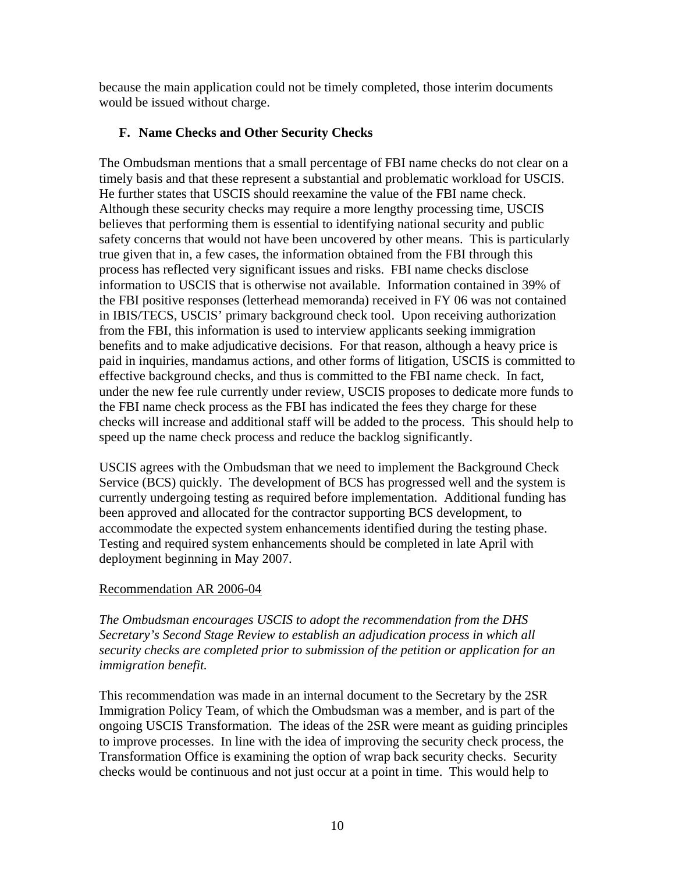because the main application could not be timely completed, those interim documents would be issued without charge.

# **F. Name Checks and Other Security Checks**

The Ombudsman mentions that a small percentage of FBI name checks do not clear on a timely basis and that these represent a substantial and problematic workload for USCIS. He further states that USCIS should reexamine the value of the FBI name check. Although these security checks may require a more lengthy processing time, USCIS believes that performing them is essential to identifying national security and public safety concerns that would not have been uncovered by other means. This is particularly true given that in, a few cases, the information obtained from the FBI through this process has reflected very significant issues and risks. FBI name checks disclose information to USCIS that is otherwise not available. Information contained in 39% of the FBI positive responses (letterhead memoranda) received in FY 06 was not contained in IBIS/TECS, USCIS' primary background check tool. Upon receiving authorization from the FBI, this information is used to interview applicants seeking immigration benefits and to make adjudicative decisions. For that reason, although a heavy price is paid in inquiries, mandamus actions, and other forms of litigation, USCIS is committed to effective background checks, and thus is committed to the FBI name check. In fact, under the new fee rule currently under review, USCIS proposes to dedicate more funds to the FBI name check process as the FBI has indicated the fees they charge for these checks will increase and additional staff will be added to the process. This should help to speed up the name check process and reduce the backlog significantly.

USCIS agrees with the Ombudsman that we need to implement the Background Check Service (BCS) quickly. The development of BCS has progressed well and the system is currently undergoing testing as required before implementation. Additional funding has been approved and allocated for the contractor supporting BCS development, to accommodate the expected system enhancements identified during the testing phase. Testing and required system enhancements should be completed in late April with deployment beginning in May 2007.

# Recommendation AR 2006-04

*The Ombudsman encourages USCIS to adopt the recommendation from the DHS Secretary's Second Stage Review to establish an adjudication process in which all security checks are completed prior to submission of the petition or application for an immigration benefit.* 

This recommendation was made in an internal document to the Secretary by the 2SR Immigration Policy Team, of which the Ombudsman was a member, and is part of the ongoing USCIS Transformation. The ideas of the 2SR were meant as guiding principles to improve processes. In line with the idea of improving the security check process, the Transformation Office is examining the option of wrap back security checks. Security checks would be continuous and not just occur at a point in time. This would help to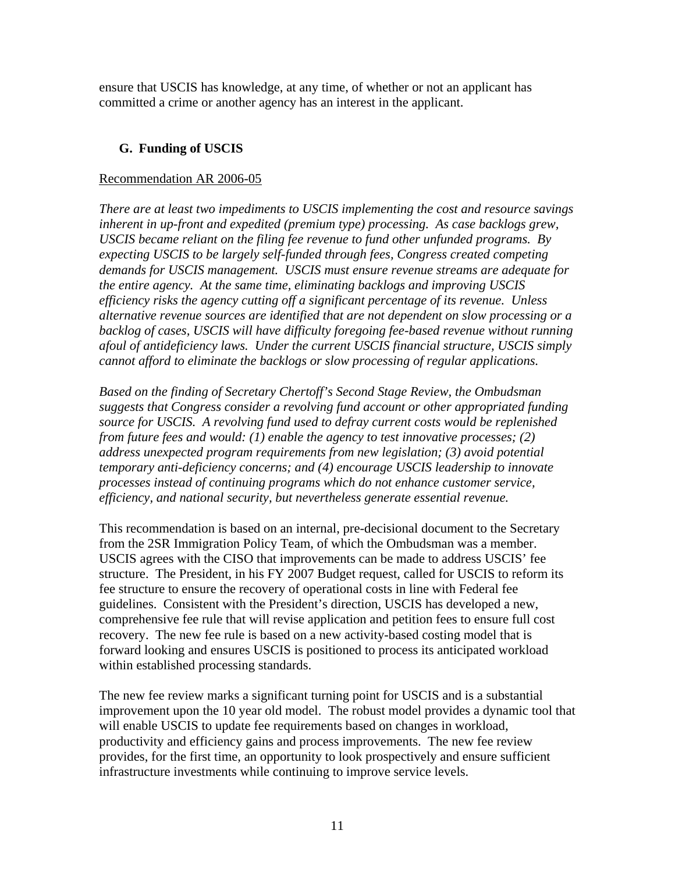ensure that USCIS has knowledge, at any time, of whether or not an applicant has committed a crime or another agency has an interest in the applicant.

# **G. Funding of USCIS**

## Recommendation AR 2006-05

*There are at least two impediments to USCIS implementing the cost and resource savings inherent in up-front and expedited (premium type) processing. As case backlogs grew, USCIS became reliant on the filing fee revenue to fund other unfunded programs. By expecting USCIS to be largely self-funded through fees, Congress created competing demands for USCIS management. USCIS must ensure revenue streams are adequate for the entire agency. At the same time, eliminating backlogs and improving USCIS efficiency risks the agency cutting off a significant percentage of its revenue. Unless alternative revenue sources are identified that are not dependent on slow processing or a backlog of cases, USCIS will have difficulty foregoing fee-based revenue without running afoul of antideficiency laws. Under the current USCIS financial structure, USCIS simply cannot afford to eliminate the backlogs or slow processing of regular applications.* 

*Based on the finding of Secretary Chertoff's Second Stage Review, the Ombudsman suggests that Congress consider a revolving fund account or other appropriated funding source for USCIS. A revolving fund used to defray current costs would be replenished from future fees and would: (1) enable the agency to test innovative processes; (2) address unexpected program requirements from new legislation; (3) avoid potential temporary anti-deficiency concerns; and (4) encourage USCIS leadership to innovate processes instead of continuing programs which do not enhance customer service, efficiency, and national security, but nevertheless generate essential revenue.* 

This recommendation is based on an internal, pre-decisional document to the Secretary from the 2SR Immigration Policy Team, of which the Ombudsman was a member. USCIS agrees with the CISO that improvements can be made to address USCIS' fee structure. The President, in his FY 2007 Budget request, called for USCIS to reform its fee structure to ensure the recovery of operational costs in line with Federal fee guidelines. Consistent with the President's direction, USCIS has developed a new, comprehensive fee rule that will revise application and petition fees to ensure full cost recovery. The new fee rule is based on a new activity-based costing model that is forward looking and ensures USCIS is positioned to process its anticipated workload within established processing standards.

The new fee review marks a significant turning point for USCIS and is a substantial improvement upon the 10 year old model. The robust model provides a dynamic tool that will enable USCIS to update fee requirements based on changes in workload, productivity and efficiency gains and process improvements. The new fee review provides, for the first time, an opportunity to look prospectively and ensure sufficient infrastructure investments while continuing to improve service levels.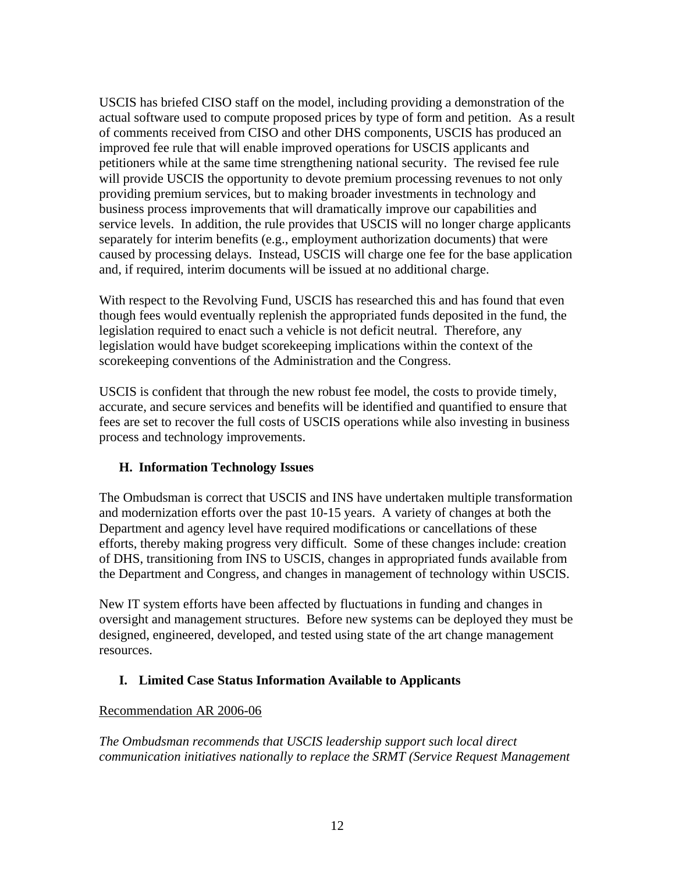USCIS has briefed CISO staff on the model, including providing a demonstration of the actual software used to compute proposed prices by type of form and petition. As a result of comments received from CISO and other DHS components, USCIS has produced an improved fee rule that will enable improved operations for USCIS applicants and petitioners while at the same time strengthening national security. The revised fee rule will provide USCIS the opportunity to devote premium processing revenues to not only providing premium services, but to making broader investments in technology and business process improvements that will dramatically improve our capabilities and service levels. In addition, the rule provides that USCIS will no longer charge applicants separately for interim benefits (e.g., employment authorization documents) that were caused by processing delays. Instead, USCIS will charge one fee for the base application and, if required, interim documents will be issued at no additional charge.

With respect to the Revolving Fund, USCIS has researched this and has found that even though fees would eventually replenish the appropriated funds deposited in the fund, the legislation required to enact such a vehicle is not deficit neutral. Therefore, any legislation would have budget scorekeeping implications within the context of the scorekeeping conventions of the Administration and the Congress.

USCIS is confident that through the new robust fee model, the costs to provide timely, accurate, and secure services and benefits will be identified and quantified to ensure that fees are set to recover the full costs of USCIS operations while also investing in business process and technology improvements.

# **H. Information Technology Issues**

The Ombudsman is correct that USCIS and INS have undertaken multiple transformation and modernization efforts over the past 10-15 years. A variety of changes at both the Department and agency level have required modifications or cancellations of these efforts, thereby making progress very difficult. Some of these changes include: creation of DHS, transitioning from INS to USCIS, changes in appropriated funds available from the Department and Congress, and changes in management of technology within USCIS.

New IT system efforts have been affected by fluctuations in funding and changes in oversight and management structures. Before new systems can be deployed they must be designed, engineered, developed, and tested using state of the art change management resources.

# **I. Limited Case Status Information Available to Applicants**

# Recommendation AR 2006-06

*The Ombudsman recommends that USCIS leadership support such local direct communication initiatives nationally to replace the SRMT (Service Request Management*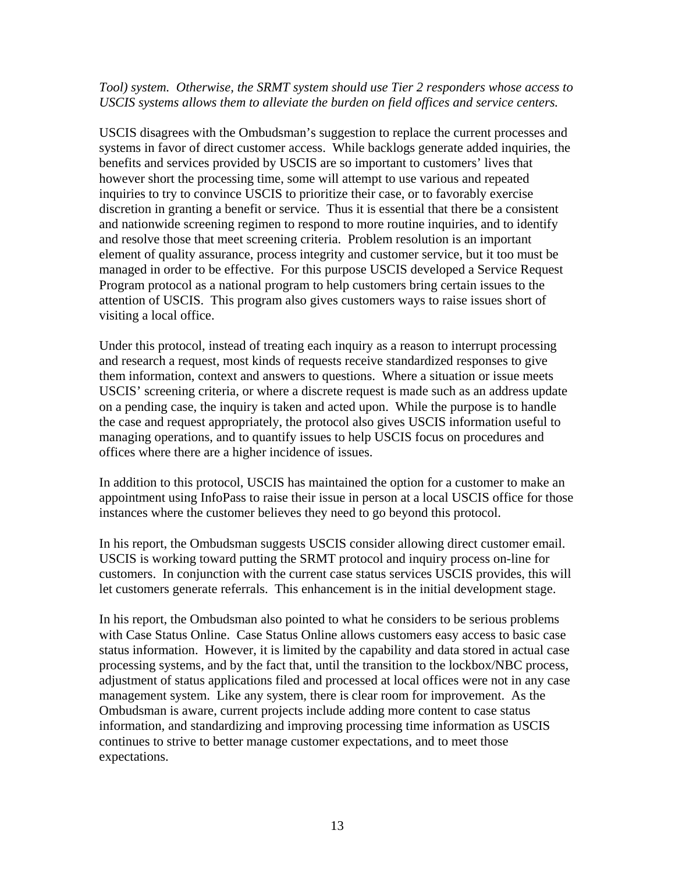### *Tool) system. Otherwise, the SRMT system should use Tier 2 responders whose access to USCIS systems allows them to alleviate the burden on field offices and service centers.*

USCIS disagrees with the Ombudsman's suggestion to replace the current processes and systems in favor of direct customer access. While backlogs generate added inquiries, the benefits and services provided by USCIS are so important to customers' lives that however short the processing time, some will attempt to use various and repeated inquiries to try to convince USCIS to prioritize their case, or to favorably exercise discretion in granting a benefit or service. Thus it is essential that there be a consistent and nationwide screening regimen to respond to more routine inquiries, and to identify and resolve those that meet screening criteria. Problem resolution is an important element of quality assurance, process integrity and customer service, but it too must be managed in order to be effective. For this purpose USCIS developed a Service Request Program protocol as a national program to help customers bring certain issues to the attention of USCIS. This program also gives customers ways to raise issues short of visiting a local office.

Under this protocol, instead of treating each inquiry as a reason to interrupt processing and research a request, most kinds of requests receive standardized responses to give them information, context and answers to questions. Where a situation or issue meets USCIS' screening criteria, or where a discrete request is made such as an address update on a pending case, the inquiry is taken and acted upon. While the purpose is to handle the case and request appropriately, the protocol also gives USCIS information useful to managing operations, and to quantify issues to help USCIS focus on procedures and offices where there are a higher incidence of issues.

In addition to this protocol, USCIS has maintained the option for a customer to make an appointment using InfoPass to raise their issue in person at a local USCIS office for those instances where the customer believes they need to go beyond this protocol.

In his report, the Ombudsman suggests USCIS consider allowing direct customer email. USCIS is working toward putting the SRMT protocol and inquiry process on-line for customers. In conjunction with the current case status services USCIS provides, this will let customers generate referrals. This enhancement is in the initial development stage.

In his report, the Ombudsman also pointed to what he considers to be serious problems with Case Status Online. Case Status Online allows customers easy access to basic case status information. However, it is limited by the capability and data stored in actual case processing systems, and by the fact that, until the transition to the lockbox/NBC process, adjustment of status applications filed and processed at local offices were not in any case management system. Like any system, there is clear room for improvement. As the Ombudsman is aware, current projects include adding more content to case status information, and standardizing and improving processing time information as USCIS continues to strive to better manage customer expectations, and to meet those expectations.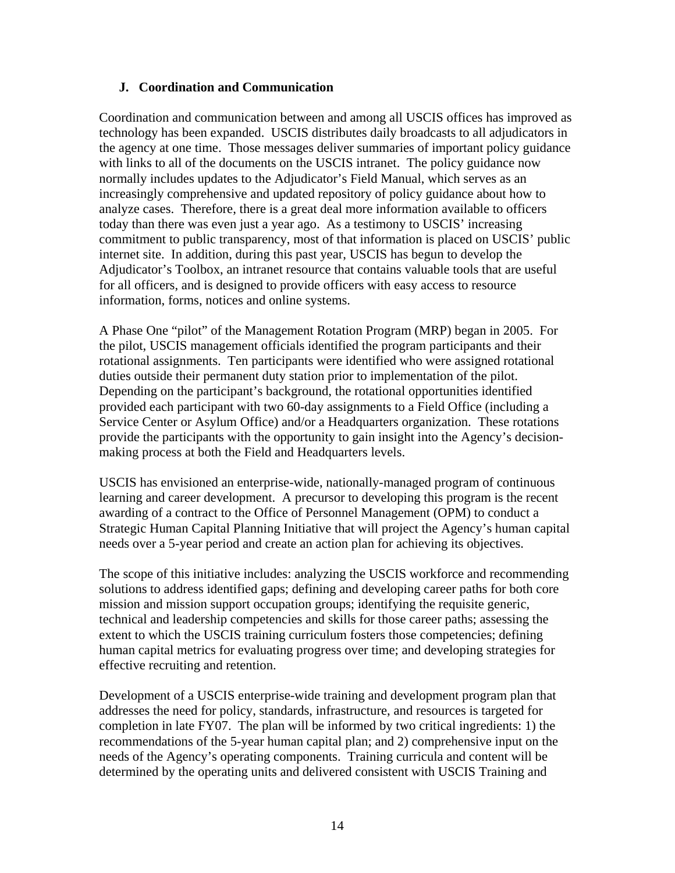# **J. Coordination and Communication**

Coordination and communication between and among all USCIS offices has improved as technology has been expanded. USCIS distributes daily broadcasts to all adjudicators in the agency at one time. Those messages deliver summaries of important policy guidance with links to all of the documents on the USCIS intranet. The policy guidance now normally includes updates to the Adjudicator's Field Manual, which serves as an increasingly comprehensive and updated repository of policy guidance about how to analyze cases. Therefore, there is a great deal more information available to officers today than there was even just a year ago. As a testimony to USCIS' increasing commitment to public transparency, most of that information is placed on USCIS' public internet site. In addition, during this past year, USCIS has begun to develop the Adjudicator's Toolbox, an intranet resource that contains valuable tools that are useful for all officers, and is designed to provide officers with easy access to resource information, forms, notices and online systems.

A Phase One "pilot" of the Management Rotation Program (MRP) began in 2005. For the pilot, USCIS management officials identified the program participants and their rotational assignments. Ten participants were identified who were assigned rotational duties outside their permanent duty station prior to implementation of the pilot. Depending on the participant's background, the rotational opportunities identified provided each participant with two 60-day assignments to a Field Office (including a Service Center or Asylum Office) and/or a Headquarters organization. These rotations provide the participants with the opportunity to gain insight into the Agency's decisionmaking process at both the Field and Headquarters levels.

USCIS has envisioned an enterprise-wide, nationally-managed program of continuous learning and career development. A precursor to developing this program is the recent awarding of a contract to the Office of Personnel Management (OPM) to conduct a Strategic Human Capital Planning Initiative that will project the Agency's human capital needs over a 5-year period and create an action plan for achieving its objectives.

The scope of this initiative includes: analyzing the USCIS workforce and recommending solutions to address identified gaps; defining and developing career paths for both core mission and mission support occupation groups; identifying the requisite generic, technical and leadership competencies and skills for those career paths; assessing the extent to which the USCIS training curriculum fosters those competencies; defining human capital metrics for evaluating progress over time; and developing strategies for effective recruiting and retention.

Development of a USCIS enterprise-wide training and development program plan that addresses the need for policy, standards, infrastructure, and resources is targeted for completion in late FY07. The plan will be informed by two critical ingredients: 1) the recommendations of the 5-year human capital plan; and 2) comprehensive input on the needs of the Agency's operating components. Training curricula and content will be determined by the operating units and delivered consistent with USCIS Training and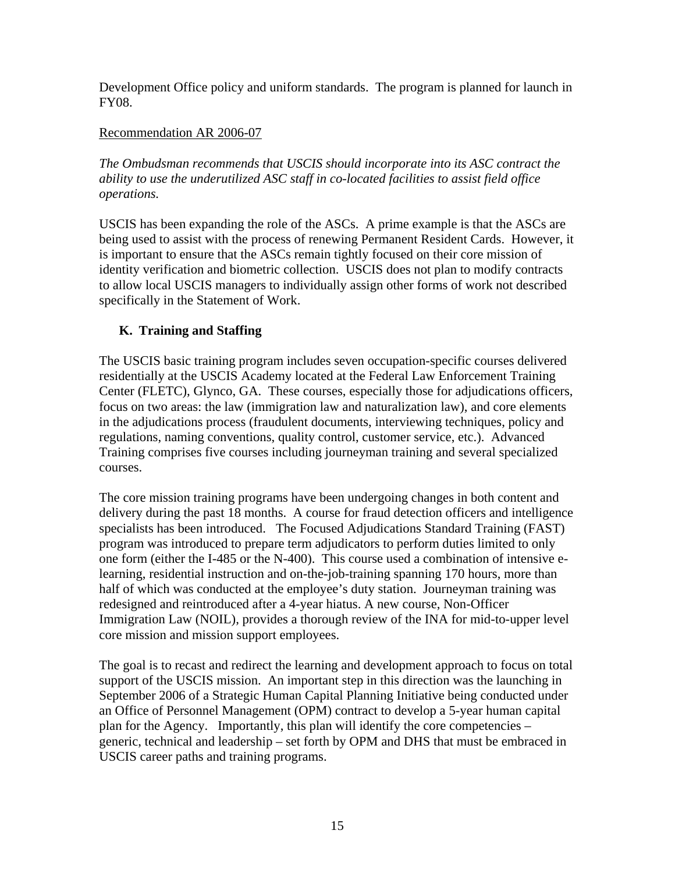Development Office policy and uniform standards. The program is planned for launch in FY08.

# Recommendation AR 2006-07

*The Ombudsman recommends that USCIS should incorporate into its ASC contract the ability to use the underutilized ASC staff in co-located facilities to assist field office operations.* 

USCIS has been expanding the role of the ASCs. A prime example is that the ASCs are being used to assist with the process of renewing Permanent Resident Cards. However, it is important to ensure that the ASCs remain tightly focused on their core mission of identity verification and biometric collection. USCIS does not plan to modify contracts to allow local USCIS managers to individually assign other forms of work not described specifically in the Statement of Work.

# **K. Training and Staffing**

The USCIS basic training program includes seven occupation-specific courses delivered residentially at the USCIS Academy located at the Federal Law Enforcement Training Center (FLETC), Glynco, GA. These courses, especially those for adjudications officers, focus on two areas: the law (immigration law and naturalization law), and core elements in the adjudications process (fraudulent documents, interviewing techniques, policy and regulations, naming conventions, quality control, customer service, etc.). Advanced Training comprises five courses including journeyman training and several specialized courses.

The core mission training programs have been undergoing changes in both content and delivery during the past 18 months. A course for fraud detection officers and intelligence specialists has been introduced. The Focused Adjudications Standard Training (FAST) program was introduced to prepare term adjudicators to perform duties limited to only one form (either the I-485 or the N-400). This course used a combination of intensive elearning, residential instruction and on-the-job-training spanning 170 hours, more than half of which was conducted at the employee's duty station. Journeyman training was redesigned and reintroduced after a 4-year hiatus. A new course, Non-Officer Immigration Law (NOIL), provides a thorough review of the INA for mid-to-upper level core mission and mission support employees.

The goal is to recast and redirect the learning and development approach to focus on total support of the USCIS mission. An important step in this direction was the launching in September 2006 of a Strategic Human Capital Planning Initiative being conducted under an Office of Personnel Management (OPM) contract to develop a 5-year human capital plan for the Agency. Importantly, this plan will identify the core competencies – generic, technical and leadership – set forth by OPM and DHS that must be embraced in USCIS career paths and training programs.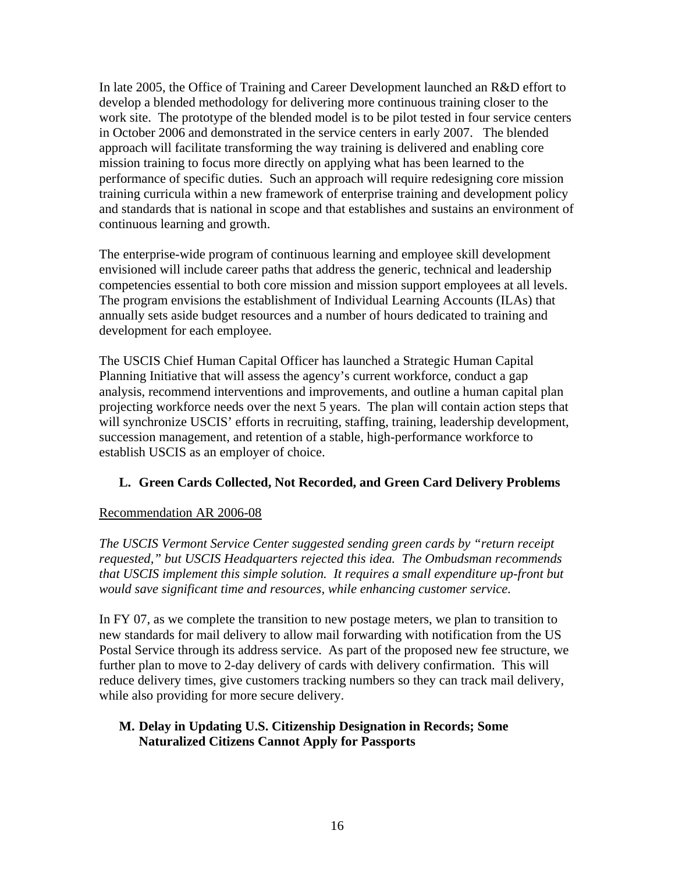In late 2005, the Office of Training and Career Development launched an R&D effort to develop a blended methodology for delivering more continuous training closer to the work site. The prototype of the blended model is to be pilot tested in four service centers in October 2006 and demonstrated in the service centers in early 2007. The blended approach will facilitate transforming the way training is delivered and enabling core mission training to focus more directly on applying what has been learned to the performance of specific duties. Such an approach will require redesigning core mission training curricula within a new framework of enterprise training and development policy and standards that is national in scope and that establishes and sustains an environment of continuous learning and growth.

The enterprise-wide program of continuous learning and employee skill development envisioned will include career paths that address the generic, technical and leadership competencies essential to both core mission and mission support employees at all levels. The program envisions the establishment of Individual Learning Accounts (ILAs) that annually sets aside budget resources and a number of hours dedicated to training and development for each employee.

The USCIS Chief Human Capital Officer has launched a Strategic Human Capital Planning Initiative that will assess the agency's current workforce, conduct a gap analysis, recommend interventions and improvements, and outline a human capital plan projecting workforce needs over the next 5 years. The plan will contain action steps that will synchronize USCIS' efforts in recruiting, staffing, training, leadership development, succession management, and retention of a stable, high-performance workforce to establish USCIS as an employer of choice.

# **L. Green Cards Collected, Not Recorded, and Green Card Delivery Problems**

# Recommendation AR 2006-08

*The USCIS Vermont Service Center suggested sending green cards by "return receipt requested," but USCIS Headquarters rejected this idea. The Ombudsman recommends that USCIS implement this simple solution. It requires a small expenditure up-front but would save significant time and resources, while enhancing customer service.* 

In FY 07, as we complete the transition to new postage meters, we plan to transition to new standards for mail delivery to allow mail forwarding with notification from the US Postal Service through its address service. As part of the proposed new fee structure, we further plan to move to 2-day delivery of cards with delivery confirmation. This will reduce delivery times, give customers tracking numbers so they can track mail delivery, while also providing for more secure delivery.

## **M. Delay in Updating U.S. Citizenship Designation in Records; Some Naturalized Citizens Cannot Apply for Passports**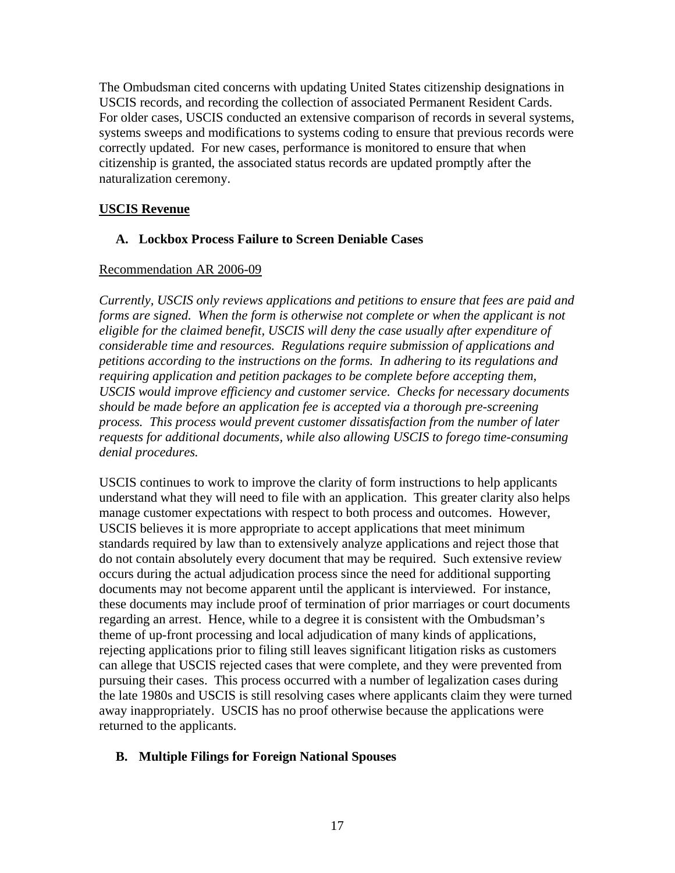The Ombudsman cited concerns with updating United States citizenship designations in USCIS records, and recording the collection of associated Permanent Resident Cards. For older cases, USCIS conducted an extensive comparison of records in several systems, systems sweeps and modifications to systems coding to ensure that previous records were correctly updated. For new cases, performance is monitored to ensure that when citizenship is granted, the associated status records are updated promptly after the naturalization ceremony.

# **USCIS Revenue**

# **A. Lockbox Process Failure to Screen Deniable Cases**

# Recommendation AR 2006-09

*Currently, USCIS only reviews applications and petitions to ensure that fees are paid and forms are signed. When the form is otherwise not complete or when the applicant is not eligible for the claimed benefit, USCIS will deny the case usually after expenditure of considerable time and resources. Regulations require submission of applications and petitions according to the instructions on the forms. In adhering to its regulations and requiring application and petition packages to be complete before accepting them, USCIS would improve efficiency and customer service. Checks for necessary documents should be made before an application fee is accepted via a thorough pre-screening process. This process would prevent customer dissatisfaction from the number of later requests for additional documents, while also allowing USCIS to forego time-consuming denial procedures.* 

USCIS continues to work to improve the clarity of form instructions to help applicants understand what they will need to file with an application. This greater clarity also helps manage customer expectations with respect to both process and outcomes. However, USCIS believes it is more appropriate to accept applications that meet minimum standards required by law than to extensively analyze applications and reject those that do not contain absolutely every document that may be required. Such extensive review occurs during the actual adjudication process since the need for additional supporting documents may not become apparent until the applicant is interviewed. For instance, these documents may include proof of termination of prior marriages or court documents regarding an arrest. Hence, while to a degree it is consistent with the Ombudsman's theme of up-front processing and local adjudication of many kinds of applications, rejecting applications prior to filing still leaves significant litigation risks as customers can allege that USCIS rejected cases that were complete, and they were prevented from pursuing their cases. This process occurred with a number of legalization cases during the late 1980s and USCIS is still resolving cases where applicants claim they were turned away inappropriately. USCIS has no proof otherwise because the applications were returned to the applicants.

# **B. Multiple Filings for Foreign National Spouses**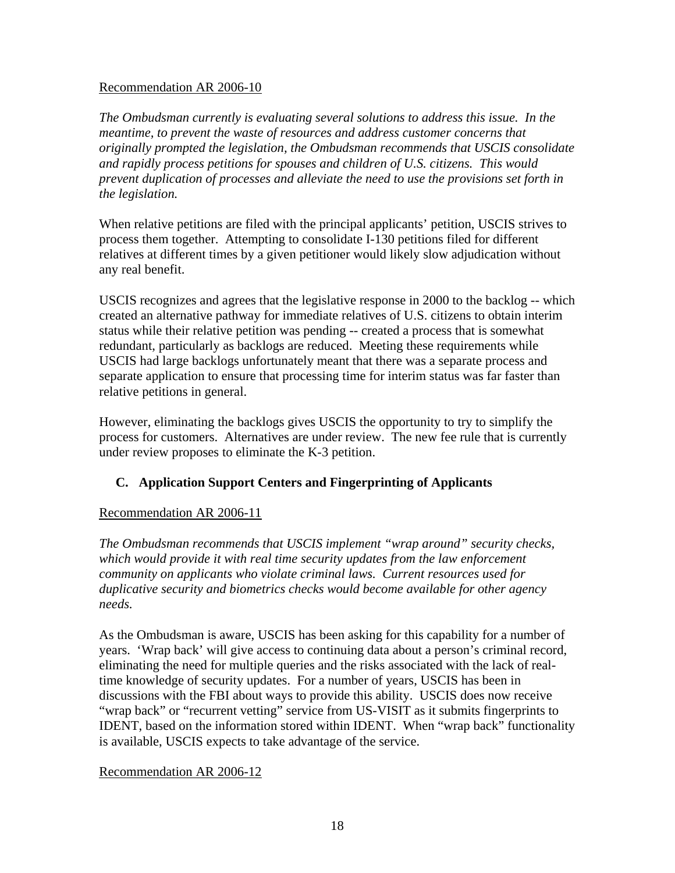# Recommendation AR 2006-10

*The Ombudsman currently is evaluating several solutions to address this issue. In the meantime, to prevent the waste of resources and address customer concerns that originally prompted the legislation, the Ombudsman recommends that USCIS consolidate and rapidly process petitions for spouses and children of U.S. citizens. This would prevent duplication of processes and alleviate the need to use the provisions set forth in the legislation.* 

When relative petitions are filed with the principal applicants' petition, USCIS strives to process them together. Attempting to consolidate I-130 petitions filed for different relatives at different times by a given petitioner would likely slow adjudication without any real benefit.

USCIS recognizes and agrees that the legislative response in 2000 to the backlog -- which created an alternative pathway for immediate relatives of U.S. citizens to obtain interim status while their relative petition was pending -- created a process that is somewhat redundant, particularly as backlogs are reduced. Meeting these requirements while USCIS had large backlogs unfortunately meant that there was a separate process and separate application to ensure that processing time for interim status was far faster than relative petitions in general.

However, eliminating the backlogs gives USCIS the opportunity to try to simplify the process for customers. Alternatives are under review. The new fee rule that is currently under review proposes to eliminate the K-3 petition.

# **C. Application Support Centers and Fingerprinting of Applicants**

# Recommendation AR 2006-11

*The Ombudsman recommends that USCIS implement "wrap around" security checks,*  which would provide it with real time security updates from the law enforcement *community on applicants who violate criminal laws. Current resources used for duplicative security and biometrics checks would become available for other agency needs.* 

As the Ombudsman is aware, USCIS has been asking for this capability for a number of years. 'Wrap back' will give access to continuing data about a person's criminal record, eliminating the need for multiple queries and the risks associated with the lack of realtime knowledge of security updates. For a number of years, USCIS has been in discussions with the FBI about ways to provide this ability. USCIS does now receive "wrap back" or "recurrent vetting" service from US-VISIT as it submits fingerprints to IDENT, based on the information stored within IDENT. When "wrap back" functionality is available, USCIS expects to take advantage of the service.

### Recommendation AR 2006-12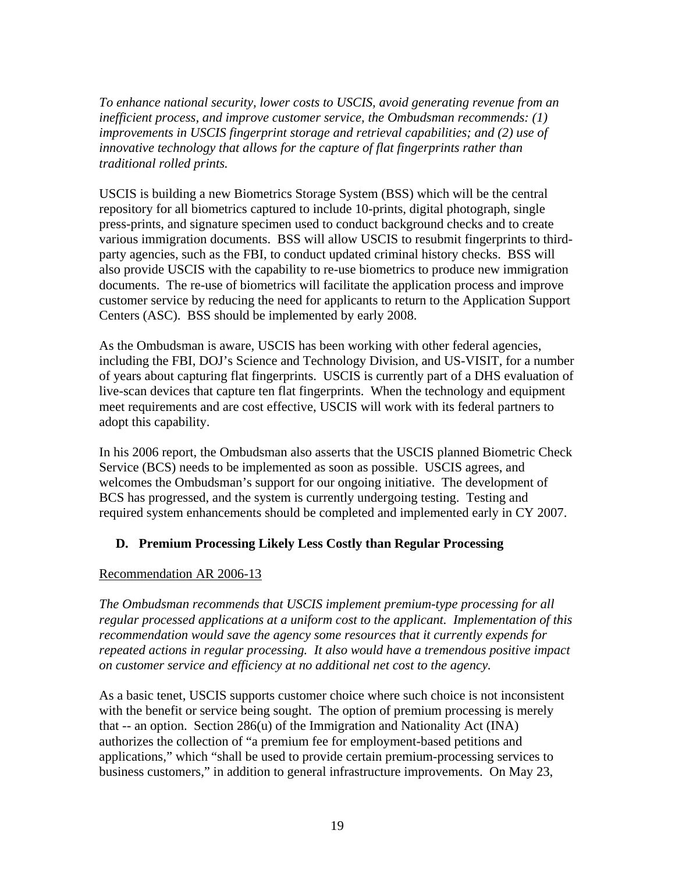*To enhance national security, lower costs to USCIS, avoid generating revenue from an inefficient process, and improve customer service, the Ombudsman recommends: (1) improvements in USCIS fingerprint storage and retrieval capabilities; and (2) use of innovative technology that allows for the capture of flat fingerprints rather than traditional rolled prints.* 

USCIS is building a new Biometrics Storage System (BSS) which will be the central repository for all biometrics captured to include 10-prints, digital photograph, single press-prints, and signature specimen used to conduct background checks and to create various immigration documents. BSS will allow USCIS to resubmit fingerprints to thirdparty agencies, such as the FBI, to conduct updated criminal history checks. BSS will also provide USCIS with the capability to re-use biometrics to produce new immigration documents. The re-use of biometrics will facilitate the application process and improve customer service by reducing the need for applicants to return to the Application Support Centers (ASC). BSS should be implemented by early 2008.

As the Ombudsman is aware, USCIS has been working with other federal agencies, including the FBI, DOJ's Science and Technology Division, and US-VISIT, for a number of years about capturing flat fingerprints. USCIS is currently part of a DHS evaluation of live-scan devices that capture ten flat fingerprints. When the technology and equipment meet requirements and are cost effective, USCIS will work with its federal partners to adopt this capability.

In his 2006 report, the Ombudsman also asserts that the USCIS planned Biometric Check Service (BCS) needs to be implemented as soon as possible. USCIS agrees, and welcomes the Ombudsman's support for our ongoing initiative. The development of BCS has progressed, and the system is currently undergoing testing. Testing and required system enhancements should be completed and implemented early in CY 2007.

# **D. Premium Processing Likely Less Costly than Regular Processing**

# Recommendation AR 2006-13

*The Ombudsman recommends that USCIS implement premium-type processing for all regular processed applications at a uniform cost to the applicant. Implementation of this recommendation would save the agency some resources that it currently expends for repeated actions in regular processing. It also would have a tremendous positive impact on customer service and efficiency at no additional net cost to the agency.*

As a basic tenet, USCIS supports customer choice where such choice is not inconsistent with the benefit or service being sought. The option of premium processing is merely that  $-$  an option. Section 286 $(u)$  of the Immigration and Nationality Act (INA) authorizes the collection of "a premium fee for employment-based petitions and applications," which "shall be used to provide certain premium-processing services to business customers," in addition to general infrastructure improvements. On May 23,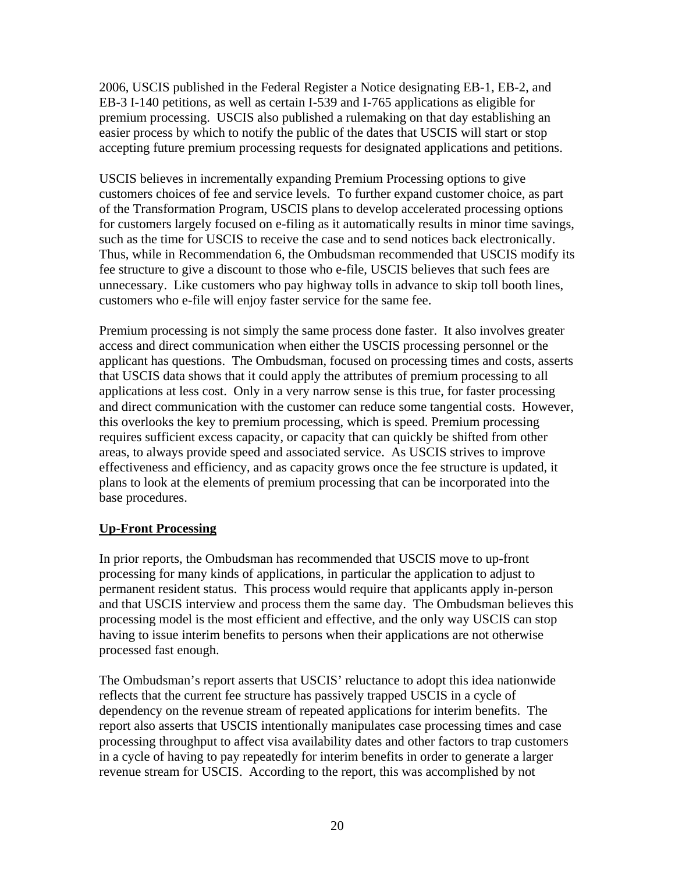2006, USCIS published in the Federal Register a Notice designating EB-1, EB-2, and EB-3 I-140 petitions, as well as certain I-539 and I-765 applications as eligible for premium processing. USCIS also published a rulemaking on that day establishing an easier process by which to notify the public of the dates that USCIS will start or stop accepting future premium processing requests for designated applications and petitions.

USCIS believes in incrementally expanding Premium Processing options to give customers choices of fee and service levels. To further expand customer choice, as part of the Transformation Program, USCIS plans to develop accelerated processing options for customers largely focused on e-filing as it automatically results in minor time savings, such as the time for USCIS to receive the case and to send notices back electronically. Thus, while in Recommendation 6, the Ombudsman recommended that USCIS modify its fee structure to give a discount to those who e-file, USCIS believes that such fees are unnecessary. Like customers who pay highway tolls in advance to skip toll booth lines, customers who e-file will enjoy faster service for the same fee.

Premium processing is not simply the same process done faster. It also involves greater access and direct communication when either the USCIS processing personnel or the applicant has questions. The Ombudsman, focused on processing times and costs, asserts that USCIS data shows that it could apply the attributes of premium processing to all applications at less cost. Only in a very narrow sense is this true, for faster processing and direct communication with the customer can reduce some tangential costs. However, this overlooks the key to premium processing, which is speed. Premium processing requires sufficient excess capacity, or capacity that can quickly be shifted from other areas, to always provide speed and associated service. As USCIS strives to improve effectiveness and efficiency, and as capacity grows once the fee structure is updated, it plans to look at the elements of premium processing that can be incorporated into the base procedures.

# **Up-Front Processing**

In prior reports, the Ombudsman has recommended that USCIS move to up-front processing for many kinds of applications, in particular the application to adjust to permanent resident status. This process would require that applicants apply in-person and that USCIS interview and process them the same day. The Ombudsman believes this processing model is the most efficient and effective, and the only way USCIS can stop having to issue interim benefits to persons when their applications are not otherwise processed fast enough.

The Ombudsman's report asserts that USCIS' reluctance to adopt this idea nationwide reflects that the current fee structure has passively trapped USCIS in a cycle of dependency on the revenue stream of repeated applications for interim benefits. The report also asserts that USCIS intentionally manipulates case processing times and case processing throughput to affect visa availability dates and other factors to trap customers in a cycle of having to pay repeatedly for interim benefits in order to generate a larger revenue stream for USCIS. According to the report, this was accomplished by not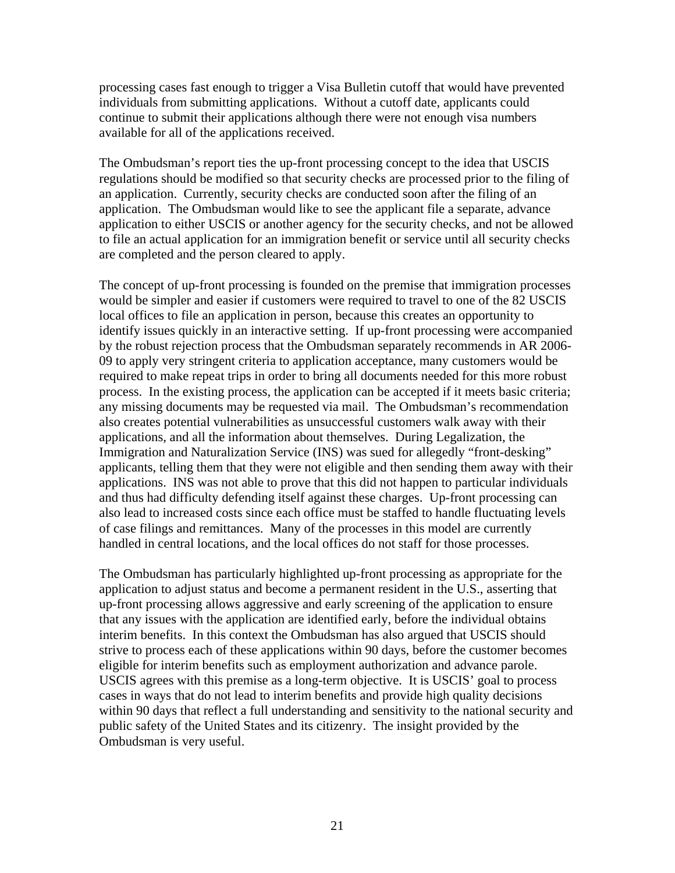processing cases fast enough to trigger a Visa Bulletin cutoff that would have prevented individuals from submitting applications. Without a cutoff date, applicants could continue to submit their applications although there were not enough visa numbers available for all of the applications received.

The Ombudsman's report ties the up-front processing concept to the idea that USCIS regulations should be modified so that security checks are processed prior to the filing of an application. Currently, security checks are conducted soon after the filing of an application. The Ombudsman would like to see the applicant file a separate, advance application to either USCIS or another agency for the security checks, and not be allowed to file an actual application for an immigration benefit or service until all security checks are completed and the person cleared to apply.

The concept of up-front processing is founded on the premise that immigration processes would be simpler and easier if customers were required to travel to one of the 82 USCIS local offices to file an application in person, because this creates an opportunity to identify issues quickly in an interactive setting. If up-front processing were accompanied by the robust rejection process that the Ombudsman separately recommends in AR 2006- 09 to apply very stringent criteria to application acceptance, many customers would be required to make repeat trips in order to bring all documents needed for this more robust process. In the existing process, the application can be accepted if it meets basic criteria; any missing documents may be requested via mail. The Ombudsman's recommendation also creates potential vulnerabilities as unsuccessful customers walk away with their applications, and all the information about themselves. During Legalization, the Immigration and Naturalization Service (INS) was sued for allegedly "front-desking" applicants, telling them that they were not eligible and then sending them away with their applications. INS was not able to prove that this did not happen to particular individuals and thus had difficulty defending itself against these charges. Up-front processing can also lead to increased costs since each office must be staffed to handle fluctuating levels of case filings and remittances. Many of the processes in this model are currently handled in central locations, and the local offices do not staff for those processes.

The Ombudsman has particularly highlighted up-front processing as appropriate for the application to adjust status and become a permanent resident in the U.S., asserting that up-front processing allows aggressive and early screening of the application to ensure that any issues with the application are identified early, before the individual obtains interim benefits. In this context the Ombudsman has also argued that USCIS should strive to process each of these applications within 90 days, before the customer becomes eligible for interim benefits such as employment authorization and advance parole. USCIS agrees with this premise as a long-term objective. It is USCIS' goal to process cases in ways that do not lead to interim benefits and provide high quality decisions within 90 days that reflect a full understanding and sensitivity to the national security and public safety of the United States and its citizenry. The insight provided by the Ombudsman is very useful.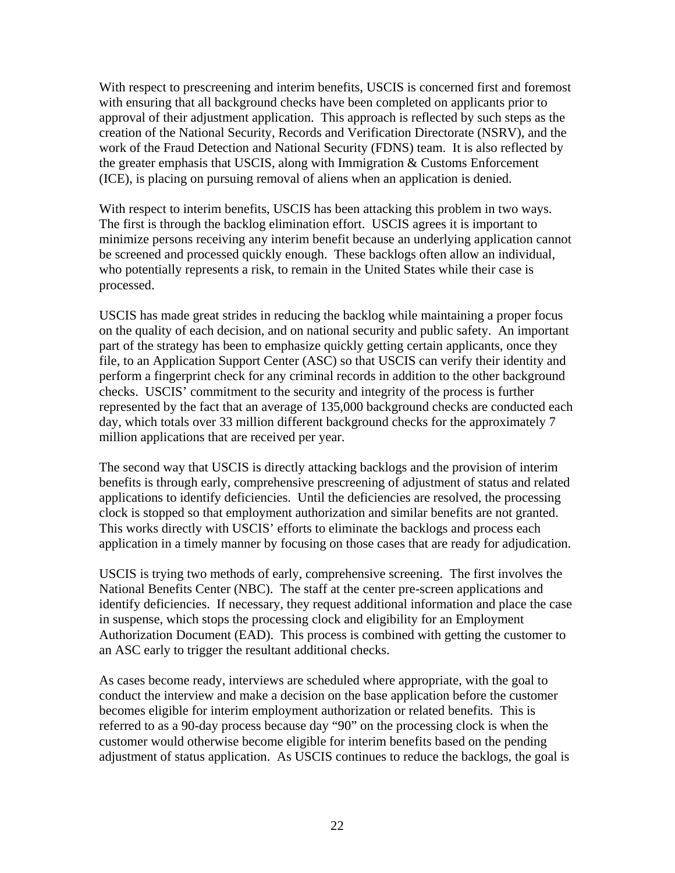With respect to prescreening and interim benefits, USCIS is concerned first and foremost with ensuring that all background checks have been completed on applicants prior to approval of their adjustment application. This approach is reflected by such steps as the creation of the National Security, Records and Verification Directorate (NSRV), and the work of the Fraud Detection and National Security (FDNS) team. It is also reflected by the greater emphasis that USCIS, along with Immigration & Customs Enforcement (ICE), is placing on pursuing removal of aliens when an application is denied.

With respect to interim benefits, USCIS has been attacking this problem in two ways. The first is through the backlog elimination effort. USCIS agrees it is important to minimize persons receiving any interim benefit because an underlying application cannot be screened and processed quickly enough. These backlogs often allow an individual, who potentially represents a risk, to remain in the United States while their case is processed.

USCIS has made great strides in reducing the backlog while maintaining a proper focus on the quality of each decision, and on national security and public safety. An important part of the strategy has been to emphasize quickly getting certain applicants, once they file, to an Application Support Center (ASC) so that USCIS can verify their identity and perform a fingerprint check for any criminal records in addition to the other background checks. USCIS' commitment to the security and integrity of the process is further represented by the fact that an average of 135,000 background checks are conducted each day, which totals over 33 million different background checks for the approximately 7 million applications that are received per year.

The second way that USCIS is directly attacking backlogs and the provision of interim benefits is through early, comprehensive prescreening of adjustment of status and related applications to identify deficiencies. Until the deficiencies are resolved, the processing clock is stopped so that employment authorization and similar benefits are not granted. This works directly with USCIS' efforts to eliminate the backlogs and process each application in a timely manner by focusing on those cases that are ready for adjudication.

USCIS is trying two methods of early, comprehensive screening. The first involves the National Benefits Center (NBC). The staff at the center pre-screen applications and identify deficiencies. If necessary, they request additional information and place the case in suspense, which stops the processing clock and eligibility for an Employment Authorization Document (EAD). This process is combined with getting the customer to an ASC early to trigger the resultant additional checks.

As cases become ready, interviews are scheduled where appropriate, with the goal to conduct the interview and make a decision on the base application before the customer becomes eligible for interim employment authorization or related benefits. This is referred to as a 90-day process because day "90" on the processing clock is when the customer would otherwise become eligible for interim benefits based on the pending adjustment of status application. As USCIS continues to reduce the backlogs, the goal is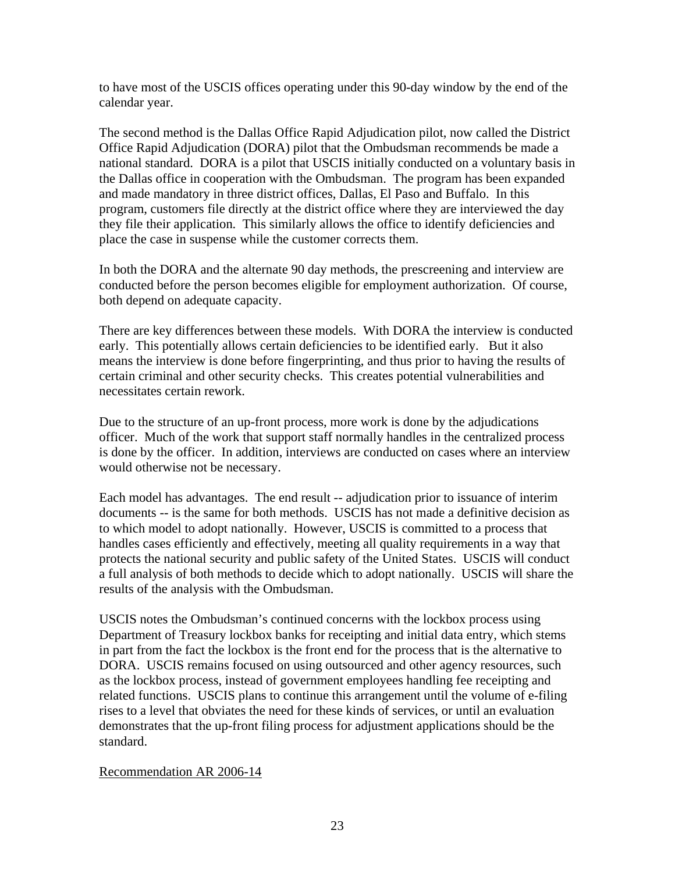to have most of the USCIS offices operating under this 90-day window by the end of the calendar year.

The second method is the Dallas Office Rapid Adjudication pilot, now called the District Office Rapid Adjudication (DORA) pilot that the Ombudsman recommends be made a national standard. DORA is a pilot that USCIS initially conducted on a voluntary basis in the Dallas office in cooperation with the Ombudsman. The program has been expanded and made mandatory in three district offices, Dallas, El Paso and Buffalo. In this program, customers file directly at the district office where they are interviewed the day they file their application. This similarly allows the office to identify deficiencies and place the case in suspense while the customer corrects them.

In both the DORA and the alternate 90 day methods, the prescreening and interview are conducted before the person becomes eligible for employment authorization. Of course, both depend on adequate capacity.

There are key differences between these models. With DORA the interview is conducted early. This potentially allows certain deficiencies to be identified early. But it also means the interview is done before fingerprinting, and thus prior to having the results of certain criminal and other security checks. This creates potential vulnerabilities and necessitates certain rework.

Due to the structure of an up-front process, more work is done by the adjudications officer. Much of the work that support staff normally handles in the centralized process is done by the officer. In addition, interviews are conducted on cases where an interview would otherwise not be necessary.

Each model has advantages. The end result -- adjudication prior to issuance of interim documents -- is the same for both methods. USCIS has not made a definitive decision as to which model to adopt nationally. However, USCIS is committed to a process that handles cases efficiently and effectively, meeting all quality requirements in a way that protects the national security and public safety of the United States. USCIS will conduct a full analysis of both methods to decide which to adopt nationally. USCIS will share the results of the analysis with the Ombudsman.

USCIS notes the Ombudsman's continued concerns with the lockbox process using Department of Treasury lockbox banks for receipting and initial data entry, which stems in part from the fact the lockbox is the front end for the process that is the alternative to DORA. USCIS remains focused on using outsourced and other agency resources, such as the lockbox process, instead of government employees handling fee receipting and related functions. USCIS plans to continue this arrangement until the volume of e-filing rises to a level that obviates the need for these kinds of services, or until an evaluation demonstrates that the up-front filing process for adjustment applications should be the standard.

### Recommendation AR 2006-14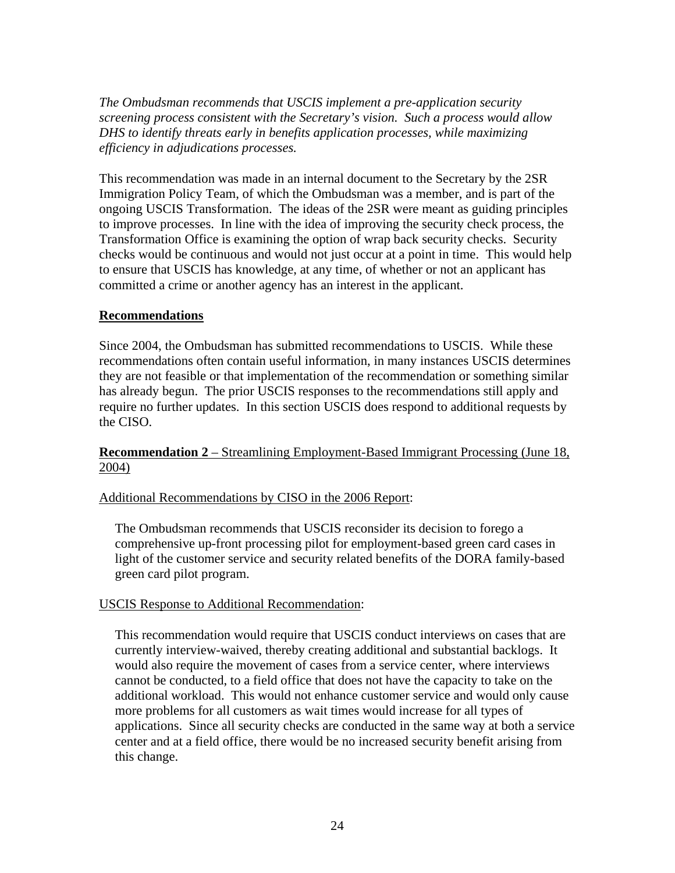*The Ombudsman recommends that USCIS implement a pre-application security screening process consistent with the Secretary's vision. Such a process would allow DHS to identify threats early in benefits application processes, while maximizing efficiency in adjudications processes.* 

This recommendation was made in an internal document to the Secretary by the 2SR Immigration Policy Team, of which the Ombudsman was a member, and is part of the ongoing USCIS Transformation. The ideas of the 2SR were meant as guiding principles to improve processes. In line with the idea of improving the security check process, the Transformation Office is examining the option of wrap back security checks. Security checks would be continuous and would not just occur at a point in time. This would help to ensure that USCIS has knowledge, at any time, of whether or not an applicant has committed a crime or another agency has an interest in the applicant.

## **Recommendations**

Since 2004, the Ombudsman has submitted recommendations to USCIS. While these recommendations often contain useful information, in many instances USCIS determines they are not feasible or that implementation of the recommendation or something similar has already begun. The prior USCIS responses to the recommendations still apply and require no further updates. In this section USCIS does respond to additional requests by the CISO.

# **Recommendation 2** – Streamlining Employment-Based Immigrant Processing (June 18, 2004)

# Additional Recommendations by CISO in the 2006 Report:

The Ombudsman recommends that USCIS reconsider its decision to forego a comprehensive up-front processing pilot for employment-based green card cases in light of the customer service and security related benefits of the DORA family-based green card pilot program.

### USCIS Response to Additional Recommendation:

This recommendation would require that USCIS conduct interviews on cases that are currently interview-waived, thereby creating additional and substantial backlogs. It would also require the movement of cases from a service center, where interviews cannot be conducted, to a field office that does not have the capacity to take on the additional workload. This would not enhance customer service and would only cause more problems for all customers as wait times would increase for all types of applications. Since all security checks are conducted in the same way at both a service center and at a field office, there would be no increased security benefit arising from this change.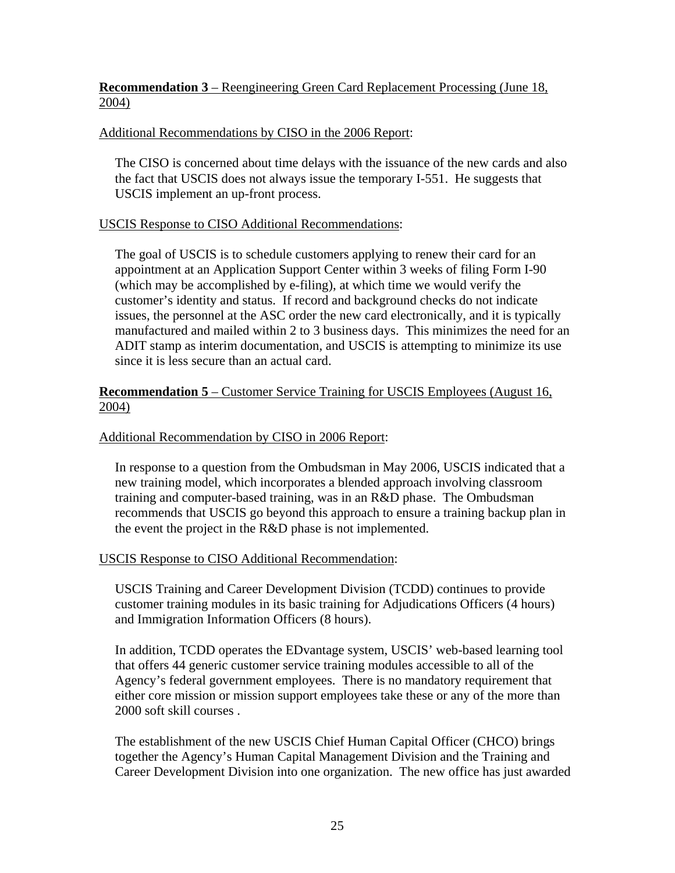# **Recommendation 3** – Reengineering Green Card Replacement Processing (June 18, 2004)

## Additional Recommendations by CISO in the 2006 Report:

The CISO is concerned about time delays with the issuance of the new cards and also the fact that USCIS does not always issue the temporary I-551. He suggests that USCIS implement an up-front process.

## USCIS Response to CISO Additional Recommendations:

The goal of USCIS is to schedule customers applying to renew their card for an appointment at an Application Support Center within 3 weeks of filing Form I-90 (which may be accomplished by e-filing), at which time we would verify the customer's identity and status. If record and background checks do not indicate issues, the personnel at the ASC order the new card electronically, and it is typically manufactured and mailed within 2 to 3 business days. This minimizes the need for an ADIT stamp as interim documentation, and USCIS is attempting to minimize its use since it is less secure than an actual card.

### **Recommendation 5** – Customer Service Training for USCIS Employees (August 16, 2004)

### Additional Recommendation by CISO in 2006 Report:

In response to a question from the Ombudsman in May 2006, USCIS indicated that a new training model, which incorporates a blended approach involving classroom training and computer-based training, was in an R&D phase. The Ombudsman recommends that USCIS go beyond this approach to ensure a training backup plan in the event the project in the R&D phase is not implemented.

### USCIS Response to CISO Additional Recommendation:

USCIS Training and Career Development Division (TCDD) continues to provide customer training modules in its basic training for Adjudications Officers (4 hours) and Immigration Information Officers (8 hours).

In addition, TCDD operates the EDvantage system, USCIS' web-based learning tool that offers 44 generic customer service training modules accessible to all of the Agency's federal government employees. There is no mandatory requirement that either core mission or mission support employees take these or any of the more than 2000 soft skill courses .

The establishment of the new USCIS Chief Human Capital Officer (CHCO) brings together the Agency's Human Capital Management Division and the Training and Career Development Division into one organization. The new office has just awarded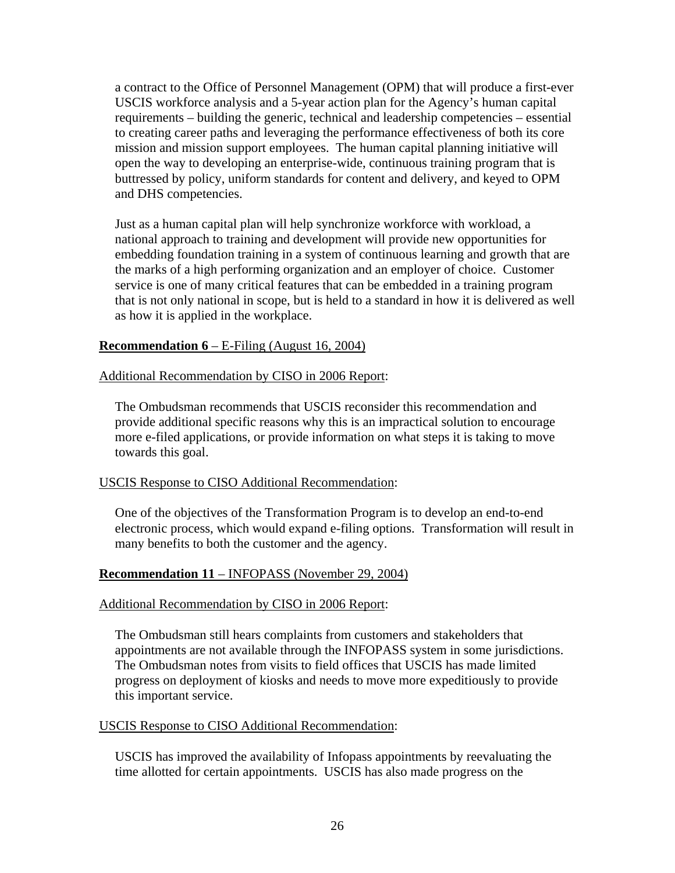a contract to the Office of Personnel Management (OPM) that will produce a first-ever USCIS workforce analysis and a 5-year action plan for the Agency's human capital requirements – building the generic, technical and leadership competencies – essential to creating career paths and leveraging the performance effectiveness of both its core mission and mission support employees. The human capital planning initiative will open the way to developing an enterprise-wide, continuous training program that is buttressed by policy, uniform standards for content and delivery, and keyed to OPM and DHS competencies.

Just as a human capital plan will help synchronize workforce with workload, a national approach to training and development will provide new opportunities for embedding foundation training in a system of continuous learning and growth that are the marks of a high performing organization and an employer of choice. Customer service is one of many critical features that can be embedded in a training program that is not only national in scope, but is held to a standard in how it is delivered as well as how it is applied in the workplace.

## **Recommendation 6** – E-Filing (August 16, 2004)

## Additional Recommendation by CISO in 2006 Report:

The Ombudsman recommends that USCIS reconsider this recommendation and provide additional specific reasons why this is an impractical solution to encourage more e-filed applications, or provide information on what steps it is taking to move towards this goal.

### USCIS Response to CISO Additional Recommendation:

One of the objectives of the Transformation Program is to develop an end-to-end electronic process, which would expand e-filing options. Transformation will result in many benefits to both the customer and the agency.

### **Recommendation 11** – INFOPASS (November 29, 2004)

### Additional Recommendation by CISO in 2006 Report:

The Ombudsman still hears complaints from customers and stakeholders that appointments are not available through the INFOPASS system in some jurisdictions. The Ombudsman notes from visits to field offices that USCIS has made limited progress on deployment of kiosks and needs to move more expeditiously to provide this important service.

#### USCIS Response to CISO Additional Recommendation:

USCIS has improved the availability of Infopass appointments by reevaluating the time allotted for certain appointments. USCIS has also made progress on the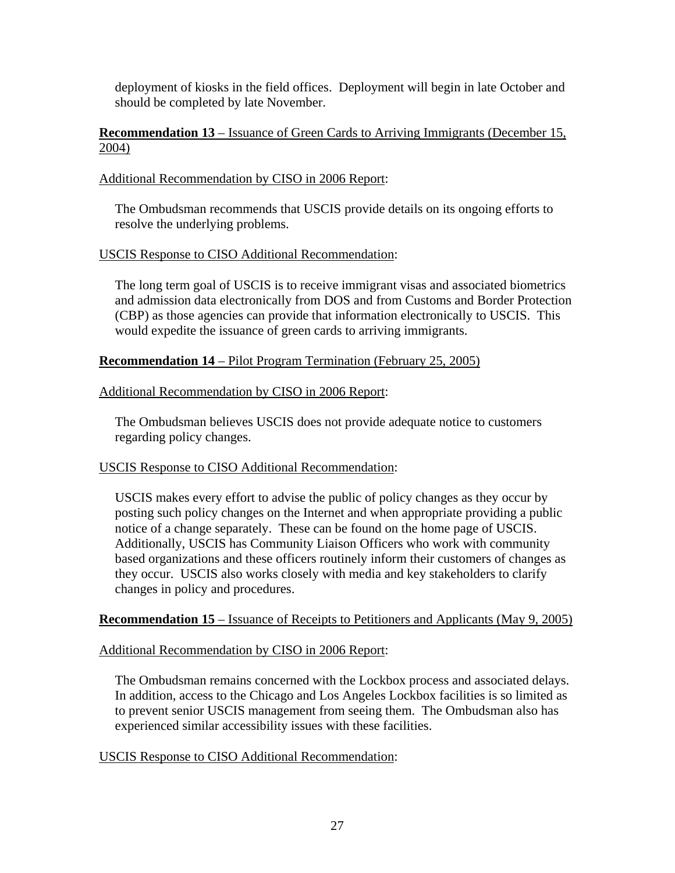deployment of kiosks in the field offices. Deployment will begin in late October and should be completed by late November.

### **Recommendation 13** – Issuance of Green Cards to Arriving Immigrants (December 15, 2004)

### Additional Recommendation by CISO in 2006 Report:

The Ombudsman recommends that USCIS provide details on its ongoing efforts to resolve the underlying problems.

### USCIS Response to CISO Additional Recommendation:

The long term goal of USCIS is to receive immigrant visas and associated biometrics and admission data electronically from DOS and from Customs and Border Protection (CBP) as those agencies can provide that information electronically to USCIS. This would expedite the issuance of green cards to arriving immigrants.

## **Recommendation 14** – Pilot Program Termination (February 25, 2005)

## Additional Recommendation by CISO in 2006 Report:

The Ombudsman believes USCIS does not provide adequate notice to customers regarding policy changes.

### USCIS Response to CISO Additional Recommendation:

USCIS makes every effort to advise the public of policy changes as they occur by posting such policy changes on the Internet and when appropriate providing a public notice of a change separately. These can be found on the home page of USCIS. Additionally, USCIS has Community Liaison Officers who work with community based organizations and these officers routinely inform their customers of changes as they occur. USCIS also works closely with media and key stakeholders to clarify changes in policy and procedures.

### **Recommendation 15** – Issuance of Receipts to Petitioners and Applicants (May 9, 2005)

### Additional Recommendation by CISO in 2006 Report:

The Ombudsman remains concerned with the Lockbox process and associated delays. In addition, access to the Chicago and Los Angeles Lockbox facilities is so limited as to prevent senior USCIS management from seeing them. The Ombudsman also has experienced similar accessibility issues with these facilities.

### USCIS Response to CISO Additional Recommendation: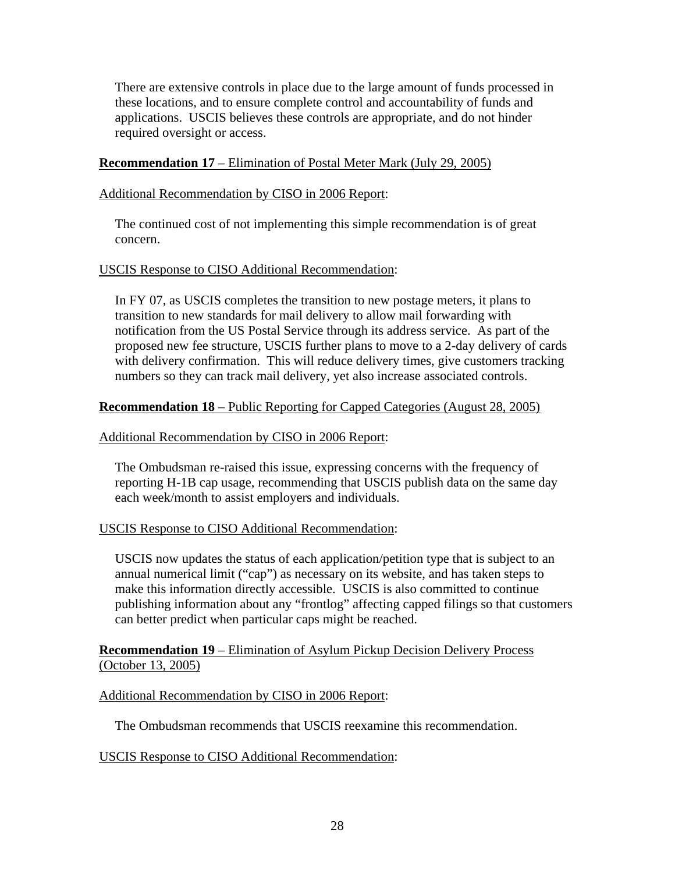There are extensive controls in place due to the large amount of funds processed in these locations, and to ensure complete control and accountability of funds and applications. USCIS believes these controls are appropriate, and do not hinder required oversight or access.

## **Recommendation 17** – Elimination of Postal Meter Mark (July 29, 2005)

### Additional Recommendation by CISO in 2006 Report:

The continued cost of not implementing this simple recommendation is of great concern.

### USCIS Response to CISO Additional Recommendation:

In FY 07, as USCIS completes the transition to new postage meters, it plans to transition to new standards for mail delivery to allow mail forwarding with notification from the US Postal Service through its address service. As part of the proposed new fee structure, USCIS further plans to move to a 2-day delivery of cards with delivery confirmation. This will reduce delivery times, give customers tracking numbers so they can track mail delivery, yet also increase associated controls.

### **Recommendation 18** – Public Reporting for Capped Categories (August 28, 2005)

### Additional Recommendation by CISO in 2006 Report:

The Ombudsman re-raised this issue, expressing concerns with the frequency of reporting H-1B cap usage, recommending that USCIS publish data on the same day each week/month to assist employers and individuals.

### USCIS Response to CISO Additional Recommendation:

USCIS now updates the status of each application/petition type that is subject to an annual numerical limit ("cap") as necessary on its website, and has taken steps to make this information directly accessible. USCIS is also committed to continue publishing information about any "frontlog" affecting capped filings so that customers can better predict when particular caps might be reached.

## **Recommendation 19** – Elimination of Asylum Pickup Decision Delivery Process (October 13, 2005)

### Additional Recommendation by CISO in 2006 Report:

The Ombudsman recommends that USCIS reexamine this recommendation.

### USCIS Response to CISO Additional Recommendation: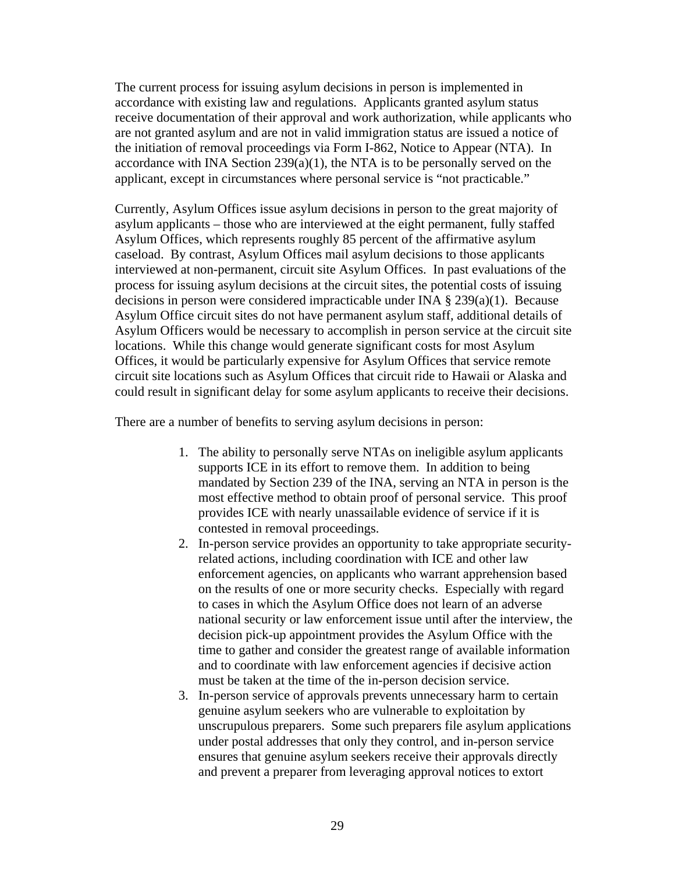The current process for issuing asylum decisions in person is implemented in accordance with existing law and regulations. Applicants granted asylum status receive documentation of their approval and work authorization, while applicants who are not granted asylum and are not in valid immigration status are issued a notice of the initiation of removal proceedings via Form I-862, Notice to Appear (NTA). In accordance with INA Section 239(a)(1), the NTA is to be personally served on the applicant, except in circumstances where personal service is "not practicable."

Currently, Asylum Offices issue asylum decisions in person to the great majority of asylum applicants – those who are interviewed at the eight permanent, fully staffed Asylum Offices, which represents roughly 85 percent of the affirmative asylum caseload. By contrast, Asylum Offices mail asylum decisions to those applicants interviewed at non-permanent, circuit site Asylum Offices. In past evaluations of the process for issuing asylum decisions at the circuit sites, the potential costs of issuing decisions in person were considered impracticable under INA § 239(a)(1). Because Asylum Office circuit sites do not have permanent asylum staff, additional details of Asylum Officers would be necessary to accomplish in person service at the circuit site locations. While this change would generate significant costs for most Asylum Offices, it would be particularly expensive for Asylum Offices that service remote circuit site locations such as Asylum Offices that circuit ride to Hawaii or Alaska and could result in significant delay for some asylum applicants to receive their decisions.

There are a number of benefits to serving asylum decisions in person:

- 1. The ability to personally serve NTAs on ineligible asylum applicants supports ICE in its effort to remove them. In addition to being mandated by Section 239 of the INA, serving an NTA in person is the most effective method to obtain proof of personal service. This proof provides ICE with nearly unassailable evidence of service if it is contested in removal proceedings.
- 2. In-person service provides an opportunity to take appropriate securityrelated actions, including coordination with ICE and other law enforcement agencies, on applicants who warrant apprehension based on the results of one or more security checks. Especially with regard to cases in which the Asylum Office does not learn of an adverse national security or law enforcement issue until after the interview, the decision pick-up appointment provides the Asylum Office with the time to gather and consider the greatest range of available information and to coordinate with law enforcement agencies if decisive action must be taken at the time of the in-person decision service.
- 3. In-person service of approvals prevents unnecessary harm to certain genuine asylum seekers who are vulnerable to exploitation by unscrupulous preparers. Some such preparers file asylum applications under postal addresses that only they control, and in-person service ensures that genuine asylum seekers receive their approvals directly and prevent a preparer from leveraging approval notices to extort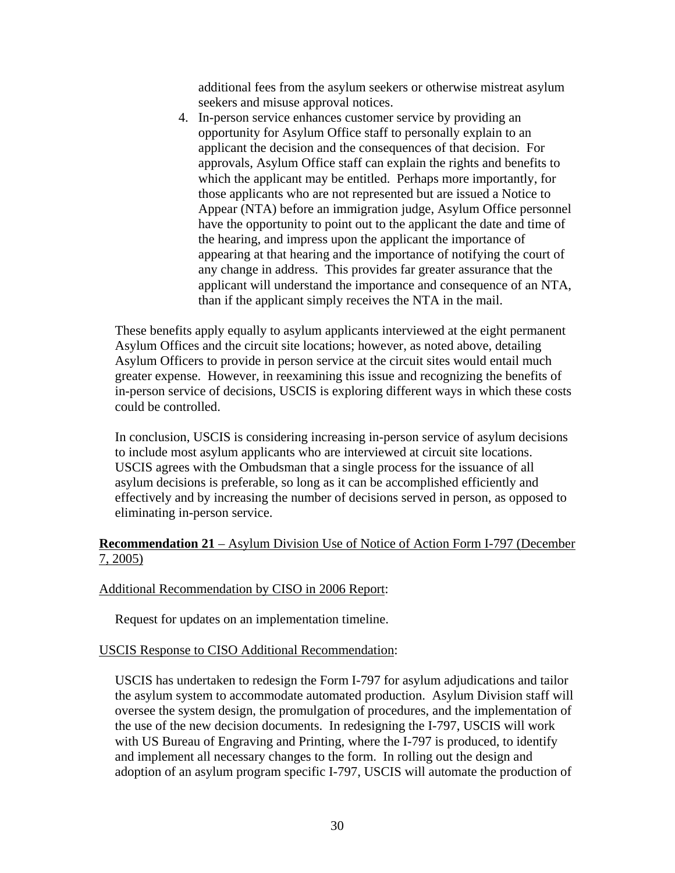additional fees from the asylum seekers or otherwise mistreat asylum seekers and misuse approval notices.

4. In-person service enhances customer service by providing an opportunity for Asylum Office staff to personally explain to an applicant the decision and the consequences of that decision. For approvals, Asylum Office staff can explain the rights and benefits to which the applicant may be entitled. Perhaps more importantly, for those applicants who are not represented but are issued a Notice to Appear (NTA) before an immigration judge, Asylum Office personnel have the opportunity to point out to the applicant the date and time of the hearing, and impress upon the applicant the importance of appearing at that hearing and the importance of notifying the court of any change in address. This provides far greater assurance that the applicant will understand the importance and consequence of an NTA, than if the applicant simply receives the NTA in the mail.

These benefits apply equally to asylum applicants interviewed at the eight permanent Asylum Offices and the circuit site locations; however, as noted above, detailing Asylum Officers to provide in person service at the circuit sites would entail much greater expense. However, in reexamining this issue and recognizing the benefits of in-person service of decisions, USCIS is exploring different ways in which these costs could be controlled.

In conclusion, USCIS is considering increasing in-person service of asylum decisions to include most asylum applicants who are interviewed at circuit site locations. USCIS agrees with the Ombudsman that a single process for the issuance of all asylum decisions is preferable, so long as it can be accomplished efficiently and effectively and by increasing the number of decisions served in person, as opposed to eliminating in-person service.

## **Recommendation 21** – Asylum Division Use of Notice of Action Form I-797 (December 7, 2005)

### Additional Recommendation by CISO in 2006 Report:

Request for updates on an implementation timeline.

#### USCIS Response to CISO Additional Recommendation:

USCIS has undertaken to redesign the Form I-797 for asylum adjudications and tailor the asylum system to accommodate automated production. Asylum Division staff will oversee the system design, the promulgation of procedures, and the implementation of the use of the new decision documents. In redesigning the I-797, USCIS will work with US Bureau of Engraving and Printing, where the I-797 is produced, to identify and implement all necessary changes to the form. In rolling out the design and adoption of an asylum program specific I-797, USCIS will automate the production of